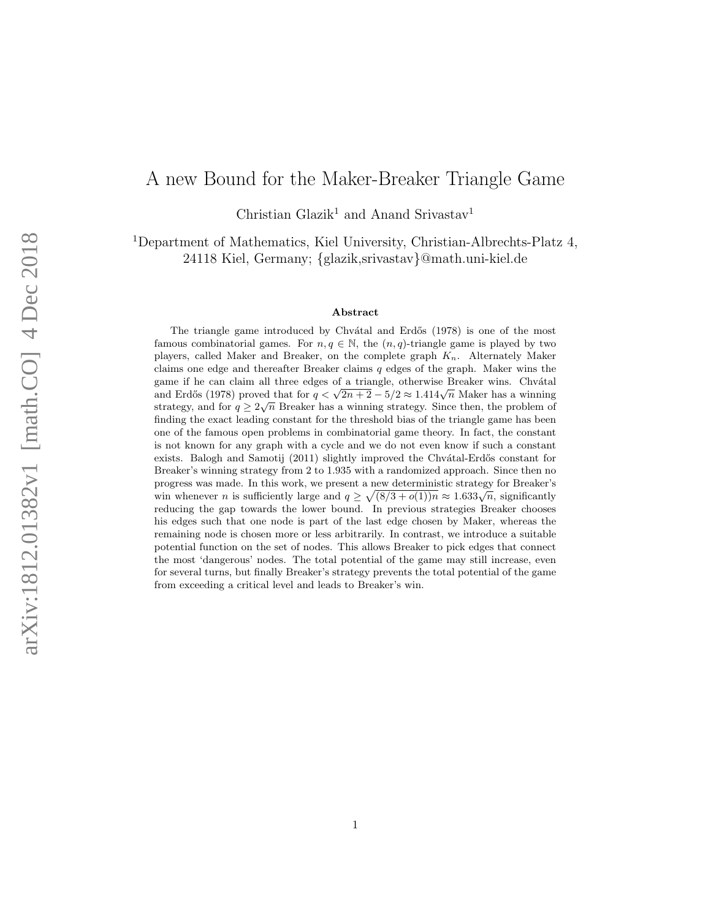# <span id="page-0-0"></span>A new Bound for the Maker-Breaker Triangle Game

Christian Glazik<sup>1</sup> and Anand Srivastav<sup>1</sup>

<sup>1</sup>Department of Mathematics, Kiel University, Christian-Albrechts-Platz 4, 24118 Kiel, Germany; {glazik,srivastav}@math.uni-kiel.de

#### Abstract

The triangle game introduced by Chvátal and Erdős (1978) is one of the most famous combinatorial games. For  $n, q \in \mathbb{N}$ , the  $(n, q)$ -triangle game is played by two players, called Maker and Breaker, on the complete graph  $K_n$ . Alternately Maker claims one edge and thereafter Breaker claims  $q$  edges of the graph. Maker wins the game if he can claim all three edges of a triangle, otherwise Breaker wins. Chvátal gaine it he can claim an three edges of a triangle, otherwise Breaker wins. Chyatan and Erdős (1978) proved that for  $q < \sqrt{2n+2} - 5/2 \approx 1.414\sqrt{n}$  Maker has a winning strategy, and for  $q \geq 2\sqrt{n}$  Breaker has a winning strategy. Since then, the problem of finding the exact leading constant for the threshold bias of the triangle game has been one of the famous open problems in combinatorial game theory. In fact, the constant is not known for any graph with a cycle and we do not even know if such a constant exists. Balogh and Samotij (2011) slightly improved the Chvátal-Erdős constant for Breaker's winning strategy from 2 to 1.935 with a randomized approach. Since then no progress was made. In this work, we present a new deterministic strategy for Breaker's progress was made. In this work, we present a new deterministic strategy for Breaker's win whenever *n* is sufficiently large and  $q \ge \sqrt{(8/3 + o(1))n} \approx 1.633\sqrt{n}$ , significantly reducing the gap towards the lower bound. In previous strategies Breaker chooses his edges such that one node is part of the last edge chosen by Maker, whereas the remaining node is chosen more or less arbitrarily. In contrast, we introduce a suitable potential function on the set of nodes. This allows Breaker to pick edges that connect the most 'dangerous' nodes. The total potential of the game may still increase, even for several turns, but finally Breaker's strategy prevents the total potential of the game from exceeding a critical level and leads to Breaker's win.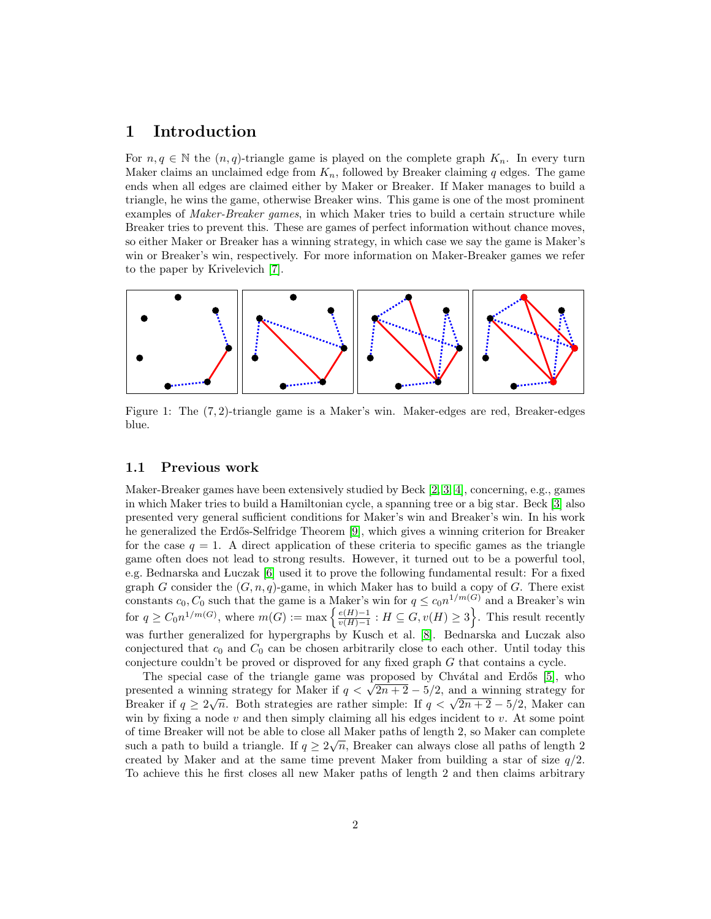### 1 Introduction

For  $n, q \in \mathbb{N}$  the  $(n, q)$ -triangle game is played on the complete graph  $K_n$ . In every turn Maker claims an unclaimed edge from  $K_n$ , followed by Breaker claiming q edges. The game ends when all edges are claimed either by Maker or Breaker. If Maker manages to build a triangle, he wins the game, otherwise Breaker wins. This game is one of the most prominent examples of *Maker-Breaker games*, in which Maker tries to build a certain structure while Breaker tries to prevent this. These are games of perfect information without chance moves, so either Maker or Breaker has a winning strategy, in which case we say the game is Maker's win or Breaker's win, respectively. For more information on Maker-Breaker games we refer to the paper by Krivelevich [\[7\]](#page-16-0).



Figure 1: The (7, 2)-triangle game is a Maker's win. Maker-edges are red, Breaker-edges blue.

### 1.1 Previous work

Maker-Breaker games have been extensively studied by Beck [\[2,](#page-16-1) [3,](#page-16-2) [4\]](#page-16-3), concerning, e.g., games in which Maker tries to build a Hamiltonian cycle, a spanning tree or a big star. Beck [\[3\]](#page-16-2) also presented very general sufficient conditions for Maker's win and Breaker's win. In his work he generalized the Erdős-Selfridge Theorem [\[9\]](#page-17-0), which gives a winning criterion for Breaker for the case  $q = 1$ . A direct application of these criteria to specific games as the triangle game often does not lead to strong results. However, it turned out to be a powerful tool, e.g. Bednarska and Luczak [\[6\]](#page-16-4) used it to prove the following fundamental result: For a fixed graph G consider the  $(G, n, q)$ -game, in which Maker has to build a copy of G. There exist constants  $c_0, C_0$  such that the game is a Maker's win for  $q \leq c_0 n^{1/m(G)}$  and a Breaker's win for  $q \geq C_0 n^{1/m(G)}$ , where  $m(G) := \max \left\{ \frac{e(H)-1}{n(H)-1} \right\}$  $\frac{e(H)-1}{v(H)-1}$ :  $H \subseteq G$ ,  $v(H) \geq 3$ . This result recently was further generalized for hypergraphs by Kusch et al. [\[8\]](#page-16-5). Bednarska and Luczak also conjectured that  $c_0$  and  $C_0$  can be chosen arbitrarily close to each other. Until today this conjecture couldn't be proved or disproved for any fixed graph G that contains a cycle.

The special case of the triangle game was proposed by Chvátal and Erdős [\[5\]](#page-16-6), who The special case of the triangle game was proposed by Chvatal and Erdos [5], who<br>presented a winning strategy for Maker if  $q < \sqrt{2n+2} - 5/2$ , and a winning strategy for presented a winning strategy for Maker if  $q < \sqrt{2n + 2} - 3/2$ , and a winning strategy for<br>Breaker if  $q \ge 2\sqrt{n}$ . Both strategies are rather simple: If  $q < \sqrt{2n + 2} - 5/2$ , Maker can win by fixing a node  $v$  and then simply claiming all his edges incident to  $v$ . At some point of time Breaker will not be able to close all Maker paths of length 2, so Maker can complete such a path to build a triangle. If  $q \geq 2\sqrt{n}$ , Breaker can always close all paths of length 2 created by Maker and at the same time prevent Maker from building a star of size  $q/2$ . To achieve this he first closes all new Maker paths of length 2 and then claims arbitrary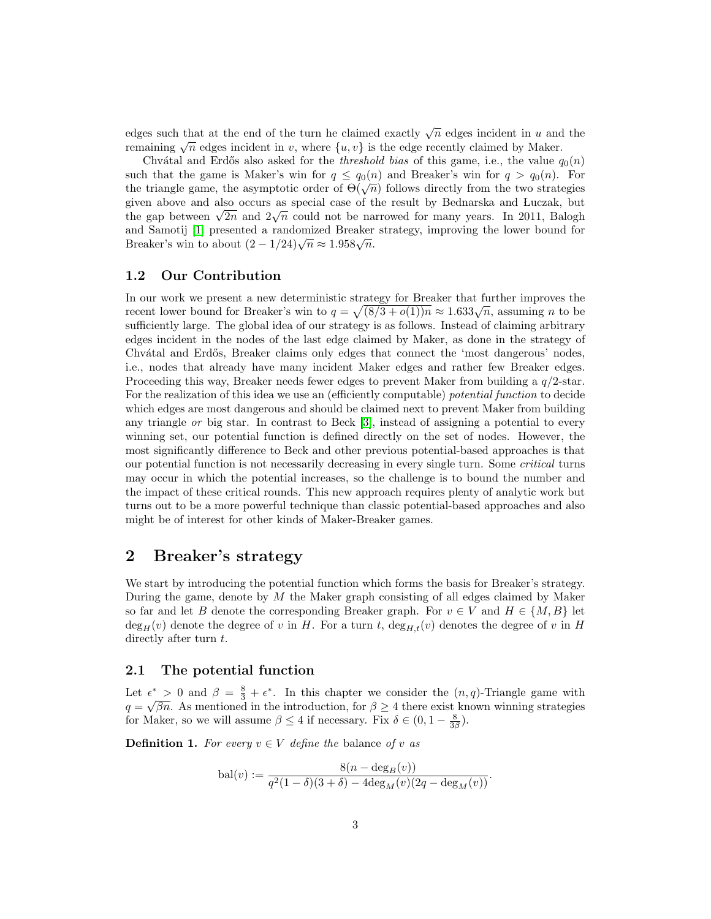edges such that at the end of the turn he claimed exactly  $\sqrt{n}$  edges incident in u and the edges such that at the end of the turn he claimed exactly  $\sqrt{n}$  edges incident in u and<br>remaining  $\sqrt{n}$  edges incident in v, where  $\{u, v\}$  is the edge recently claimed by Maker.

Chvátal and Erdős also asked for the *threshold bias* of this game, i.e., the value  $q_0(n)$ such that the game is Maker's win for  $q \leq q_0(n)$  and Breaker's win for  $q > q_0(n)$ . For such that the game is waker s will for  $q \leq q_0(n)$  and breaker s will for  $q > q_0(n)$ . For<br>the triangle game, the asymptotic order of  $\Theta(\sqrt{n})$  follows directly from the two strategies given above and also occurs as special case of the result by Bednarska and Luczak, but given above and also occurs as special case of the result by Bednarska and Luczak, but<br>the gap between  $\sqrt{2n}$  and  $2\sqrt{n}$  could not be narrowed for many years. In 2011, Balogh and Samotij [\[1\]](#page-16-7) presented a randomized Breaker strategy, improving the lower bound for and samour [1] presented a randomized Breaker<br>Breaker's win to about  $(2 - 1/24)\sqrt{n} \approx 1.958\sqrt{n}$ .

#### 1.2 Our Contribution

In our work we present a new deterministic strategy for Breaker that further improves the In our work we present a new deterministic strategy for Breaker that further improves the recent lower bound for Breaker's win to  $q = \sqrt{(8/3 + o(1))n} \approx 1.633\sqrt{n}$ , assuming *n* to be sufficiently large. The global idea of our strategy is as follows. Instead of claiming arbitrary edges incident in the nodes of the last edge claimed by Maker, as done in the strategy of Chvátal and Erdős, Breaker claims only edges that connect the 'most dangerous' nodes, i.e., nodes that already have many incident Maker edges and rather few Breaker edges. Proceeding this way, Breaker needs fewer edges to prevent Maker from building a q/2-star. For the realization of this idea we use an (efficiently computable) potential function to decide which edges are most dangerous and should be claimed next to prevent Maker from building any triangle or big star. In contrast to Beck [\[3\]](#page-16-2), instead of assigning a potential to every winning set, our potential function is defined directly on the set of nodes. However, the most significantly difference to Beck and other previous potential-based approaches is that our potential function is not necessarily decreasing in every single turn. Some critical turns may occur in which the potential increases, so the challenge is to bound the number and the impact of these critical rounds. This new approach requires plenty of analytic work but turns out to be a more powerful technique than classic potential-based approaches and also might be of interest for other kinds of Maker-Breaker games.

### 2 Breaker's strategy

We start by introducing the potential function which forms the basis for Breaker's strategy. During the game, denote by  $M$  the Maker graph consisting of all edges claimed by Maker so far and let B denote the corresponding Breaker graph. For  $v \in V$  and  $H \in \{M, B\}$  let  $\deg_H(v)$  denote the degree of v in H. For a turn t,  $\deg_{H,t}(v)$  denotes the degree of v in H directly after turn  $t$ .

### <span id="page-2-0"></span>2.1 The potential function

Let  $\epsilon^* > 0$  and  $\beta = \frac{8}{3} + \epsilon^*$ . In this chapter we consider the  $(n, q)$ -Triangle game with  $q = \sqrt{\beta n}$ . As mentioned in the introduction, for  $\beta \geq 4$  there exist known winning strategies for Maker, so we will assume  $\beta \leq 4$  if necessary. Fix  $\delta \in (0, 1 - \frac{8}{3\beta})$ .

<span id="page-2-1"></span>**Definition 1.** For every  $v \in V$  define the balance of v as

$$
bal(v) := \frac{8(n - \deg_B(v))}{q^2(1 - \delta)(3 + \delta) - 4\deg_M(v)(2q - \deg_M(v))}.
$$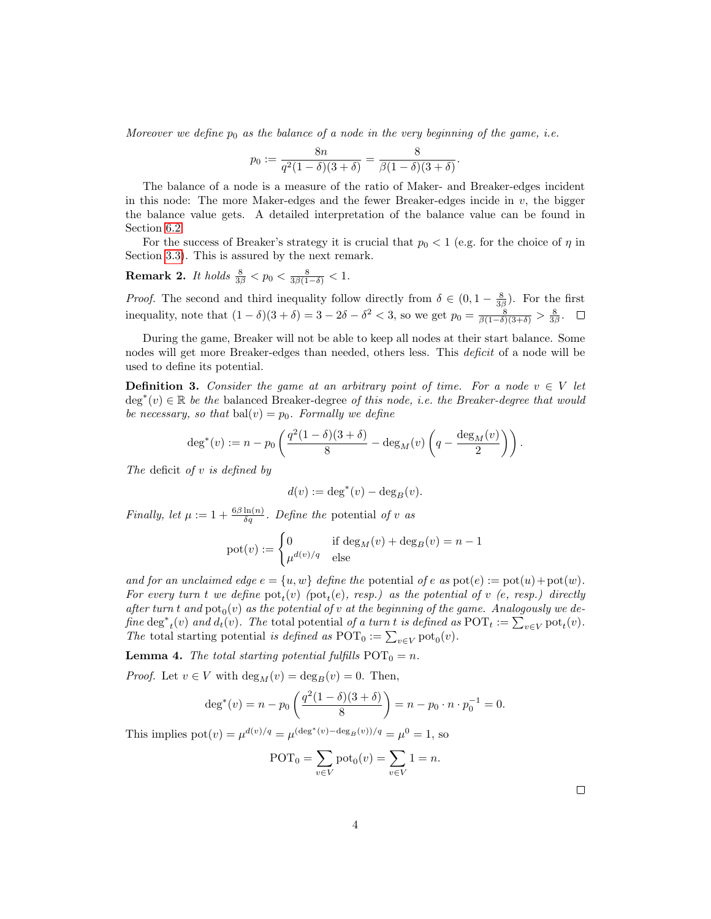Moreover we define  $p_0$  as the balance of a node in the very beginning of the game, i.e.

$$
p_0 := \frac{8n}{q^2(1-\delta)(3+\delta)} = \frac{8}{\beta(1-\delta)(3+\delta)}.
$$

The balance of a node is a measure of the ratio of Maker- and Breaker-edges incident in this node: The more Maker-edges and the fewer Breaker-edges incide in  $v$ , the bigger the balance value gets. A detailed interpretation of the balance value can be found in Section [6.2.](#page-18-0)

For the success of Breaker's strategy it is crucial that  $p_0 < 1$  (e.g. for the choice of  $\eta$  in Section [3.3\)](#page-9-0). This is assured by the next remark.

<span id="page-3-0"></span>**Remark 2.** It holds  $\frac{8}{3\beta} < p_0 < \frac{8}{3\beta(1-\delta)} < 1$ .

*Proof.* The second and third inequality follow directly from  $\delta \in (0, 1 - \frac{8}{3\beta})$ . For the first inequality, note that  $(1 - \delta)(3 + \delta) = 3 - 2\delta - \delta^2 < 3$ , so we get  $p_0 = \frac{8}{\beta(1 - \delta)(3 + \delta)} > \frac{8}{3\beta}$ .

During the game, Breaker will not be able to keep all nodes at their start balance. Some nodes will get more Breaker-edges than needed, others less. This *deficit* of a node will be used to define its potential.

<span id="page-3-2"></span>**Definition 3.** Consider the game at an arbitrary point of time. For a node  $v \in V$  let  $\deg^*(v) \in \mathbb{R}$  be the balanced Breaker-degree of this node, i.e. the Breaker-degree that would be necessary, so that bal $(v) = p_0$ . Formally we define

$$
\deg^*(v) := n - p_0 \left( \frac{q^2(1-\delta)(3+\delta)}{8} - \deg_M(v) \left( q - \frac{\deg_M(v)}{2} \right) \right).
$$

The deficit of  $v$  is defined by

$$
d(v) := \deg^*(v) - \deg_B(v).
$$

Finally, let  $\mu := 1 + \frac{6\beta \ln(n)}{\delta q}$ . Define the potential of v as

$$
pot(v) := \begin{cases} 0 & \text{if } \deg_M(v) + \deg_B(v) = n - 1 \\ \mu^{d(v)/q} & \text{else} \end{cases}
$$

and for an unclaimed edge  $e = \{u, w\}$  define the potential of e as  $pot(e) := pot(u) + pot(w)$ . For every turn t we define  $pot_t(v)$  ( $pot_t(e)$ , resp.) as the potential of v (e, resp.) directly after turn t and  $\text{pot}_0(v)$  as the potential of v at the beginning of the game. Analogously we define  $\deg^*_{t}(v)$  and  $d_t(v)$ . The total potential of a turn t is defined as  $\text{POT}_t := \sum_{v \in V} \text{pot}_t(v)$ . The total starting potential is defined as POT<sub>0</sub> :=  $\sum_{v \in V} \text{pot}_0(v)$ .

<span id="page-3-1"></span>**Lemma 4.** The total starting potential fulfills  $POT_0 = n$ .

*Proof.* Let  $v \in V$  with  $\deg_M(v) = \deg_B(v) = 0$ . Then,

$$
\deg^*(v) = n - p_0 \left( \frac{q^2 (1 - \delta)(3 + \delta)}{8} \right) = n - p_0 \cdot n \cdot p_0^{-1} = 0.
$$

This implies  $pot(v) = \mu^{d(v)/q} = \mu^{(\text{deg}^*(v) - \text{deg}_B(v))/q} = \mu^0 = 1$ , so

$$
\text{POT}_0 = \sum_{v \in V} \text{pot}_0(v) = \sum_{v \in V} 1 = n.
$$

 $\Box$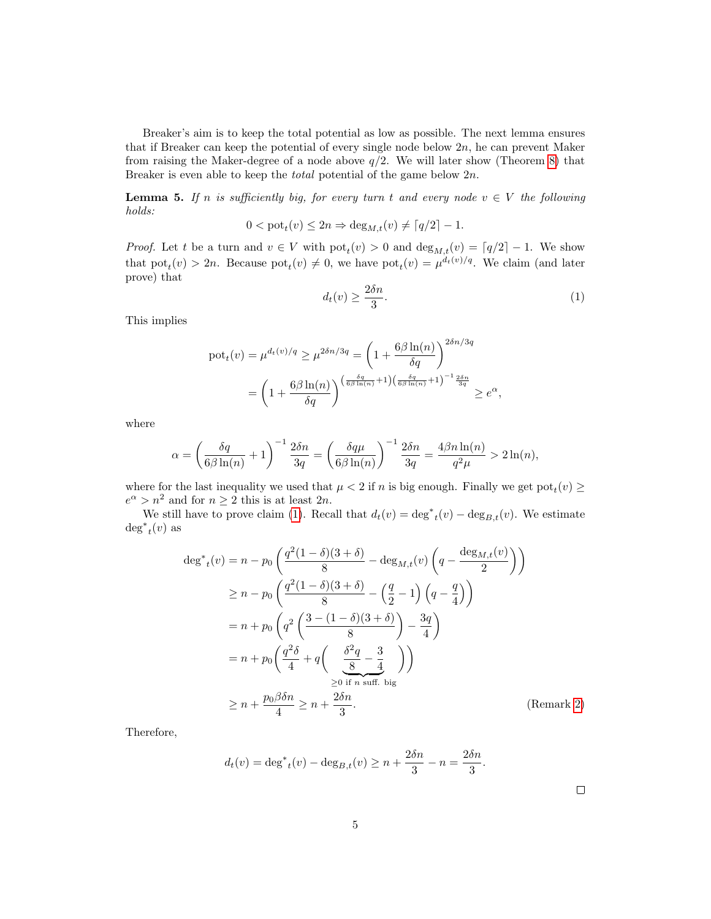Breaker's aim is to keep the total potential as low as possible. The next lemma ensures that if Breaker can keep the potential of every single node below  $2n$ , he can prevent Maker from raising the Maker-degree of a node above  $q/2$ . We will later show (Theorem [8\)](#page-6-0) that Breaker is even able to keep the *total* potential of the game below  $2n$ .

<span id="page-4-1"></span>**Lemma 5.** If n is sufficiently big, for every turn t and every node  $v \in V$  the following holds:

$$
0 < \text{pot}_t(v) \le 2n \Rightarrow \deg_{M,t}(v) \neq \lceil q/2 \rceil - 1.
$$

*Proof.* Let t be a turn and  $v \in V$  with  $pot_t(v) > 0$  and  $deg_{M,t}(v) = \lceil q/2 \rceil - 1$ . We show that  $\text{pot}_t(v) > 2n$ . Because  $\text{pot}_t(v) \neq 0$ , we have  $\text{pot}_t(v) = \mu^{d_t(v)/q}$ . We claim (and later prove) that

<span id="page-4-0"></span>
$$
d_t(v) \ge \frac{2\delta n}{3}.\tag{1}
$$

This implies

$$
\begin{split} \text{pot}_{t}(v) &= \mu^{d_t(v)/q} \ge \mu^{2\delta n/3q} = \left(1 + \frac{6\beta \ln(n)}{\delta q}\right)^{2\delta n/3q} \\ &= \left(1 + \frac{6\beta \ln(n)}{\delta q}\right)^{\left(\frac{\delta q}{6\beta \ln(n)} + 1\right)\left(\frac{\delta q}{6\beta \ln(n)} + 1\right)^{-1} \frac{2\delta n}{3q}} \ge e^{\alpha}, \end{split}
$$

where

$$
\alpha = \left(\frac{\delta q}{6\beta \ln(n)} + 1\right)^{-1} \frac{2\delta n}{3q} = \left(\frac{\delta q\mu}{6\beta \ln(n)}\right)^{-1} \frac{2\delta n}{3q} = \frac{4\beta n \ln(n)}{q^2\mu} > 2\ln(n),
$$

where for the last inequality we used that  $\mu < 2$  if n is big enough. Finally we get  $pot_t(v) \ge$  $e^{\alpha} > n^2$  and for  $n \geq 2$  this is at least  $2n$ .

We still have to prove claim [\(1\)](#page-4-0). Recall that  $d_t(v) = \deg_{t}^*(v) - \deg_{B,t}(v)$ . We estimate  $\deg^*_{t}(v)$  as

$$
\deg^*_{t}(v) = n - p_0 \left( \frac{q^2 (1 - \delta)(3 + \delta)}{8} - \deg_{M,t}(v) \left( q - \frac{\deg_{M,t}(v)}{2} \right) \right)
$$
  
\n
$$
\ge n - p_0 \left( \frac{q^2 (1 - \delta)(3 + \delta)}{8} - \left( \frac{q}{2} - 1 \right) \left( q - \frac{q}{4} \right) \right)
$$
  
\n
$$
= n + p_0 \left( q^2 \left( \frac{3 - (1 - \delta)(3 + \delta)}{8} \right) - \frac{3q}{4} \right)
$$
  
\n
$$
= n + p_0 \left( \frac{q^2 \delta}{4} + q \left( \frac{\delta^2 q}{8} - \frac{3}{4} \right) \right)
$$
  
\n
$$
\ge 0 \text{ if } n \text{ suff. big}
$$
  
\n
$$
\ge n + \frac{p_0 \beta \delta n}{4} \ge n + \frac{2\delta n}{3}.
$$
 (Remark 2)

Therefore,

$$
d_t(v) = \deg^*_{t}(v) - \deg_{B,t}(v) \ge n + \frac{2\delta n}{3} - n = \frac{2\delta n}{3}.
$$

| ۰ |  | I |  |
|---|--|---|--|
|   |  |   |  |
|   |  |   |  |
|   |  |   |  |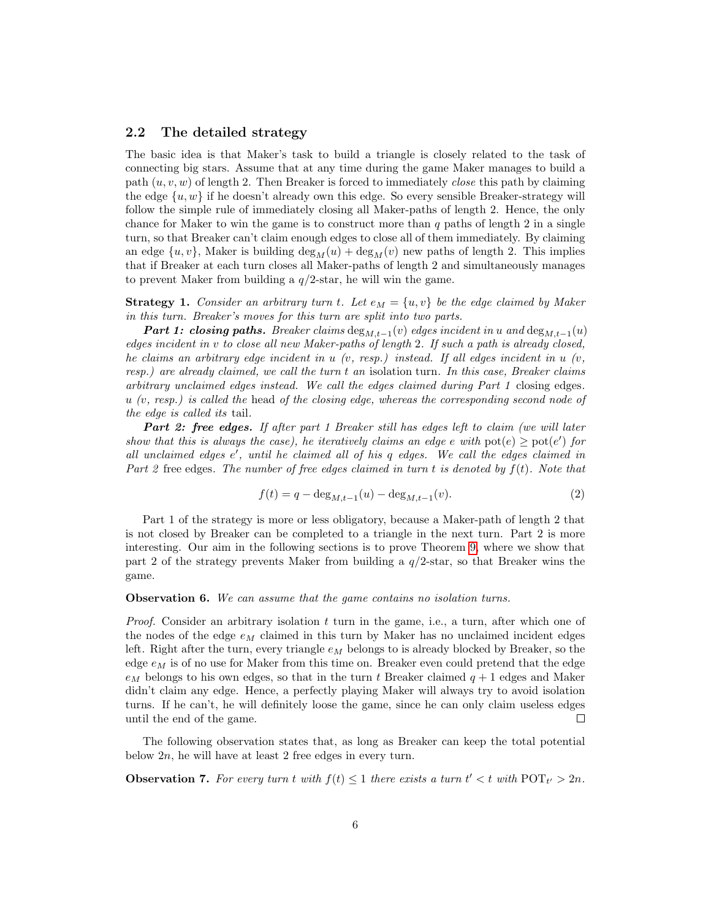#### <span id="page-5-4"></span>2.2 The detailed strategy

The basic idea is that Maker's task to build a triangle is closely related to the task of connecting big stars. Assume that at any time during the game Maker manages to build a path  $(u, v, w)$  of length 2. Then Breaker is forced to immediately *close* this path by claiming the edge  $\{u, w\}$  if he doesn't already own this edge. So every sensible Breaker-strategy will follow the simple rule of immediately closing all Maker-paths of length 2. Hence, the only chance for Maker to win the game is to construct more than  $q$  paths of length 2 in a single turn, so that Breaker can't claim enough edges to close all of them immediately. By claiming an edge  $\{u, v\}$ , Maker is building  $\deg_M(u) + \deg_M(v)$  new paths of length 2. This implies that if Breaker at each turn closes all Maker-paths of length 2 and simultaneously manages to prevent Maker from building a  $q/2$ -star, he will win the game.

<span id="page-5-0"></span>**Strategy 1.** Consider an arbitrary turn t. Let  $e_M = \{u, v\}$  be the edge claimed by Maker in this turn. Breaker's moves for this turn are split into two parts.

**Part 1: closing paths.** Breaker claims  $\text{deg}_{M,t-1}(v)$  edges incident in u and  $\text{deg}_{M,t-1}(u)$ edges incident in v to close all new Maker-paths of length 2. If such a path is already closed, he claims an arbitrary edge incident in  $u$  (v, resp.) instead. If all edges incident in  $u$  (v, resp.) are already claimed, we call the turn t an isolation turn. In this case, Breaker claims arbitrary unclaimed edges instead. We call the edges claimed during Part 1 closing edges.  $u \ (v, resp.)$  is called the head of the closing edge, whereas the corresponding second node of the edge is called its tail.

Part 2: free edges. If after part 1 Breaker still has edges left to claim (we will later show that this is always the case), he iteratively claims an edge e with  $pot(e) \geq pot(e')$  for all unclaimed edges e', until he claimed all of his q edges. We call the edges claimed in Part 2 free edges. The number of free edges claimed in turn t is denoted by  $f(t)$ . Note that

<span id="page-5-2"></span>
$$
f(t) = q - \deg_{M,t-1}(u) - \deg_{M,t-1}(v).
$$
 (2)

Part 1 of the strategy is more or less obligatory, because a Maker-path of length 2 that is not closed by Breaker can be completed to a triangle in the next turn. Part 2 is more interesting. Our aim in the following sections is to prove Theorem [9,](#page-6-1) where we show that part 2 of the strategy prevents Maker from building a  $q/2$ -star, so that Breaker wins the game.

#### <span id="page-5-1"></span>**Observation 6.** We can assume that the game contains no isolation turns.

*Proof.* Consider an arbitrary isolation t turn in the game, i.e., a turn, after which one of the nodes of the edge  $e_M$  claimed in this turn by Maker has no unclaimed incident edges left. Right after the turn, every triangle  $e_M$  belongs to is already blocked by Breaker, so the edge  $e_M$  is of no use for Maker from this time on. Breaker even could pretend that the edge  $e_M$  belongs to his own edges, so that in the turn t Breaker claimed  $q + 1$  edges and Maker didn't claim any edge. Hence, a perfectly playing Maker will always try to avoid isolation turns. If he can't, he will definitely loose the game, since he can only claim useless edges until the end of the game. П

The following observation states that, as long as Breaker can keep the total potential below 2n, he will have at least 2 free edges in every turn.

<span id="page-5-3"></span>**Observation 7.** For every turn t with  $f(t) \leq 1$  there exists a turn  $t' < t$  with  $\text{POT}_{t'} > 2n$ .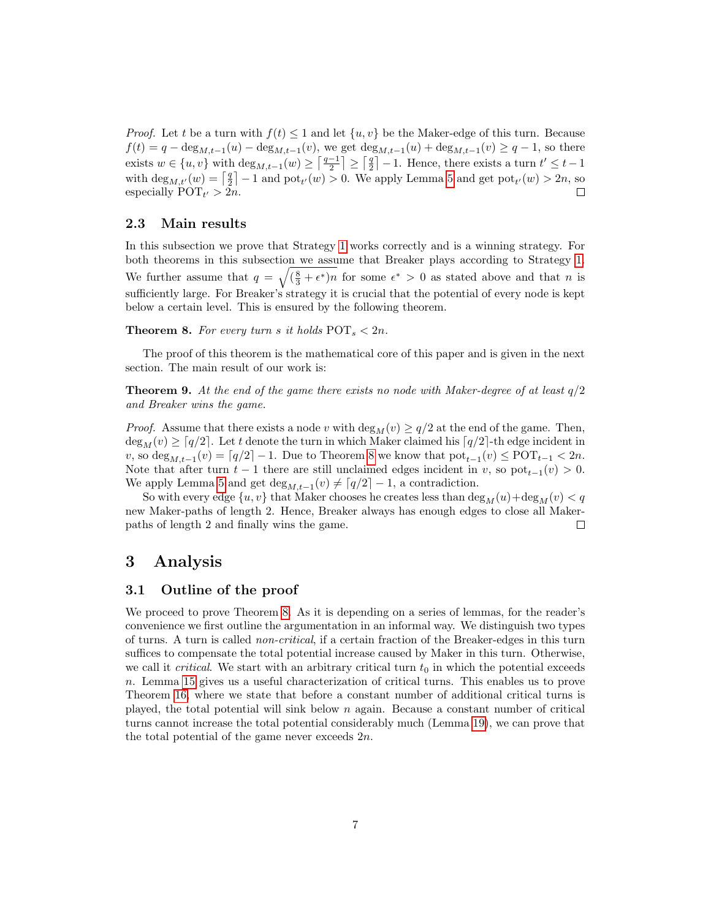*Proof.* Let t be a turn with  $f(t) \leq 1$  and let  $\{u, v\}$  be the Maker-edge of this turn. Because  $f(t) = q - \deg_{M,t-1}(u) - \deg_{M,t-1}(v)$ , we get  $\deg_{M,t-1}(u) + \deg_{M,t-1}(v) \geq q-1$ , so there exists  $w \in \{u, v\}$  with  $\deg_{M,t-1}(w) \geq \left\lceil \frac{q-1}{2} \right\rceil \geq \left\lceil \frac{q}{2} \right\rceil - 1$ . Hence, there exists a turn  $t' \leq t-1$ with  $\deg_{M,t'}(w) = \lceil \frac{q}{2} \rceil - 1$  and  $\text{pot}_{t'}(w) > 0$ . We apply Lemma [5](#page-4-1) and get  $\text{pot}_{t'}(w) > 2n$ , so especially  $\text{POT}_{t'} > 2n$ .  $\Box$ 

### 2.3 Main results

In this subsection we prove that Strategy [1](#page-5-0) works correctly and is a winning strategy. For both theorems in this subsection we assume that Breaker plays according to Strategy [1.](#page-5-0) We further assume that  $q = \sqrt{(\frac{8}{3} + \epsilon^*)n}$  for some  $\epsilon^* > 0$  as stated above and that n is sufficiently large. For Breaker's strategy it is crucial that the potential of every node is kept below a certain level. This is ensured by the following theorem.

<span id="page-6-0"></span>**Theorem 8.** For every turn s it holds  $POT_s < 2n$ .

The proof of this theorem is the mathematical core of this paper and is given in the next section. The main result of our work is:

<span id="page-6-1"></span>**Theorem 9.** At the end of the game there exists no node with Maker-degree of at least  $q/2$ and Breaker wins the game.

*Proof.* Assume that there exists a node v with  $\deg_M(v) \geq q/2$  at the end of the game. Then,  $\deg_M(v) \geq \lceil q/2 \rceil$ . Let t denote the turn in which Maker claimed his  $\lceil q/2 \rceil$ -th edge incident in v, so  $\deg_{M,t-1}(v) = \lceil q/2 \rceil - 1$ . Due to Theorem [8](#page-6-0) we know that  $\text{pot}_{t-1}(v) \leq \text{POT}_{t-1} < 2n$ . Note that after turn  $t-1$  there are still unclaimed edges incident in v, so  $pot_{t-1}(v) > 0$ . We apply Lemma [5](#page-4-1) and get  $\deg_{M,t-1}(v) \neq \lceil q/2 \rceil - 1$ , a contradiction.

So with every edge  $\{u, v\}$  that Maker chooses he creates less than  $\deg_M(u) + \deg_M(v) < q$ new Maker-paths of length 2. Hence, Breaker always has enough edges to close all Makerpaths of length 2 and finally wins the game.  $\sqcup$ 

### 3 Analysis

### 3.1 Outline of the proof

We proceed to prove Theorem [8.](#page-6-0) As it is depending on a series of lemmas, for the reader's convenience we first outline the argumentation in an informal way. We distinguish two types of turns. A turn is called non-critical, if a certain fraction of the Breaker-edges in this turn suffices to compensate the total potential increase caused by Maker in this turn. Otherwise, we call it *critical*. We start with an arbitrary critical turn  $t_0$  in which the potential exceeds n. Lemma [15](#page-10-0) gives us a useful characterization of critical turns. This enables us to prove Theorem [16,](#page-11-0) where we state that before a constant number of additional critical turns is played, the total potential will sink below n again. Because a constant number of critical turns cannot increase the total potential considerably much (Lemma [19\)](#page-12-0), we can prove that the total potential of the game never exceeds  $2n$ .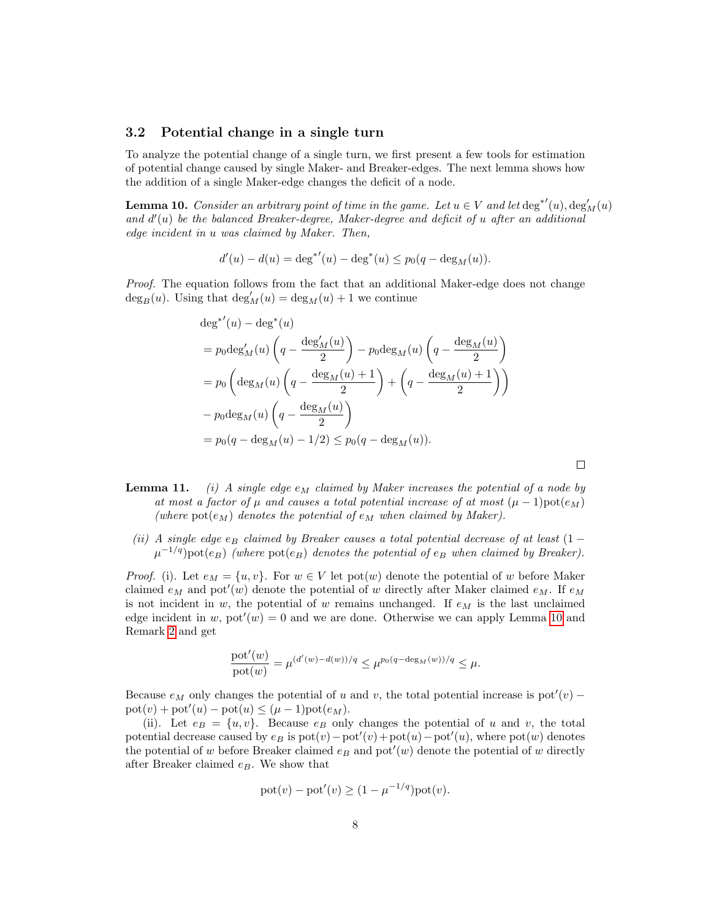#### 3.2 Potential change in a single turn

To analyze the potential change of a single turn, we first present a few tools for estimation of potential change caused by single Maker- and Breaker-edges. The next lemma shows how the addition of a single Maker-edge changes the deficit of a node.

<span id="page-7-0"></span>**Lemma 10.** Consider an arbitrary point of time in the game. Let  $u \in V$  and let  $\deg^{*'}(u)$ ,  $\deg'_{M}(u)$ and  $d'(u)$  be the balanced Breaker-degree, Maker-degree and deficit of  $u$  after an additional edge incident in u was claimed by Maker. Then,

$$
d'(u) - d(u) = \deg^{*'}(u) - \deg^{*}(u) \le p_0(q - \deg_{M}(u)).
$$

Proof. The equation follows from the fact that an additional Maker-edge does not change  $\deg_B(u)$ . Using that  $\deg'_M(u) = \deg_M(u) + 1$  we continue

$$
deg^{*'}(u) - deg^*(u)
$$
  
=  $p_0 deg'_M(u) \left( q - \frac{deg'_M(u)}{2} \right) - p_0 deg_M(u) \left( q - \frac{deg_M(u)}{2} \right)$   
=  $p_0 \left( deg_M(u) \left( q - \frac{deg_M(u) + 1}{2} \right) + \left( q - \frac{deg_M(u) + 1}{2} \right) \right)$   
-  $p_0 deg_M(u) \left( q - \frac{deg_M(u)}{2} \right)$   
=  $p_0(q - deg_M(u) - 1/2) \le p_0(q - deg_M(u)).$ 

**Lemma 11.** (i) A single edge  $e_M$  claimed by Maker increases the potential of a node by at most a factor of  $\mu$  and causes a total potential increase of at most  $(\mu - 1)$ pot $(e_M)$ (where  $pot(e_M)$  denotes the potential of  $e_M$  when claimed by Maker).

 $\Box$ 

(ii) A single edge  $e_B$  claimed by Breaker causes a total potential decrease of at least (1 −  $\mu^{-1/q}$ )pot $(e_B)$  (where pot $(e_B)$  denotes the potential of  $e_B$  when claimed by Breaker).

*Proof.* (i). Let  $e_M = \{u, v\}$ . For  $w \in V$  let pot $(w)$  denote the potential of w before Maker claimed  $e_M$  and pot'(w) denote the potential of w directly after Maker claimed  $e_M$ . If  $e_M$ is not incident in w, the potential of w remains unchanged. If  $e_M$  is the last unclaimed edge incident in w,  $pot'(w) = 0$  and we are done. Otherwise we can apply Lemma [10](#page-7-0) and Remark [2](#page-3-0) and get

$$
\frac{\mathrm{pot}'(w)}{\mathrm{pot}(w)} = \mu^{(d'(w) - d(w))/q} \le \mu^{p_0(q - \deg_M(w))/q} \le \mu.
$$

Because  $e_M$  only changes the potential of u and v, the total potential increase is pot'(v) –  $\text{pot}(v) + \text{pot}'(u) - \text{pot}(u) \leq (\mu - 1)\text{pot}(e_M).$ 

(ii). Let  $e_B = \{u, v\}$ . Because  $e_B$  only changes the potential of u and v, the total potential decrease caused by  $e_B$  is  $pot(v) - pot'(v) + pot(u) - pot'(u)$ , where  $pot(w)$  denotes the potential of w before Breaker claimed  $e_B$  and pot'(w) denote the potential of w directly after Breaker claimed  $e_B$ . We show that

$$
pot(v) - pot'(v) \ge (1 - \mu^{-1/q})pot(v).
$$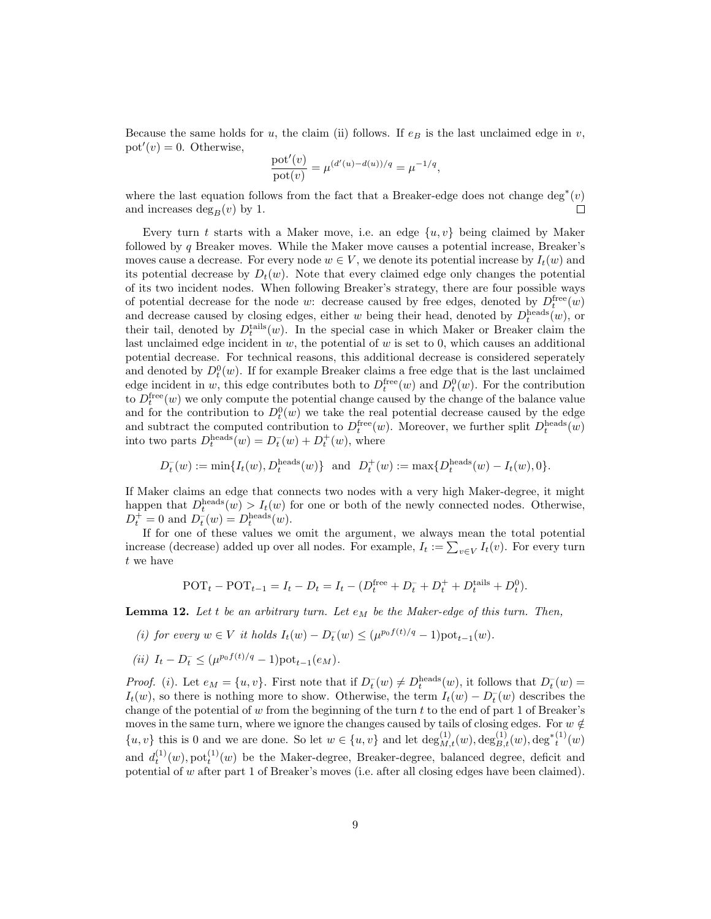Because the same holds for u, the claim (ii) follows. If  $e_B$  is the last unclaimed edge in v,  $pot'(v) = 0$ . Otherwise,

$$
\frac{\mathrm{pot}'(v)}{\mathrm{pot}(v)} = \mu^{(d'(u) - d(u))/q} = \mu^{-1/q},
$$

where the last equation follows from the fact that a Breaker-edge does not change  $\deg^*(v)$ and increases  $\deg_B(v)$  by 1.  $\Box$ 

Every turn t starts with a Maker move, i.e. an edge  $\{u, v\}$  being claimed by Maker followed by  $q$  Breaker moves. While the Maker move causes a potential increase, Breaker's moves cause a decrease. For every node  $w \in V$ , we denote its potential increase by  $I_t(w)$  and its potential decrease by  $D_t(w)$ . Note that every claimed edge only changes the potential of its two incident nodes. When following Breaker's strategy, there are four possible ways of potential decrease for the node w: decrease caused by free edges, denoted by  $D_t^{\text{free}}(w)$ and decrease caused by closing edges, either w being their head, denoted by  $D_t^{\text{heads}}(w)$ , or their tail, denoted by  $D_t^{\text{tails}}(w)$ . In the special case in which Maker or Breaker claim the last unclaimed edge incident in  $w$ , the potential of  $w$  is set to 0, which causes an additional potential decrease. For technical reasons, this additional decrease is considered seperately and denoted by  $D_t^0(w)$ . If for example Breaker claims a free edge that is the last unclaimed edge incident in w, this edge contributes both to  $D_t^{\text{free}}(w)$  and  $D_t^0(w)$ . For the contribution to  $D_t^{\text{free}}(w)$  we only compute the potential change caused by the change of the balance value and for the contribution to  $D_t^0(w)$  we take the real potential decrease caused by the edge and subtract the computed contribution to  $D_t^{\text{free}}(w)$ . Moreover, we further split  $D_t^{\text{heads}}(w)$ into two parts  $D_t^{\text{heads}}(w) = D_t^-(w) + D_t^+(w)$ , where

$$
D_t^-(w) := \min\{I_t(w), D_t^{\text{heads}}(w)\}\
$$
 and  $D_t^+(w) := \max\{D_t^{\text{heads}}(w) - I_t(w), 0\}.$ 

If Maker claims an edge that connects two nodes with a very high Maker-degree, it might happen that  $D_t^{\text{heads}}(w) > I_t(w)$  for one or both of the newly connected nodes. Otherwise,  $D_t^+ = 0$  and  $D_t^-(w) = D_t^{\text{heads}}(w)$ .

If for one of these values we omit the argument, we always mean the total potential increase (decrease) added up over all nodes. For example,  $I_t := \sum_{v \in V} I_t(v)$ . For every turn t we have

$$
POTt - POTt-1 = It - Dt = It - (Dtfree + Dt- + Dt+ + Dttails + Dt0).
$$

<span id="page-8-0"></span>**Lemma 12.** Let t be an arbitrary turn. Let  $e_M$  be the Maker-edge of this turn. Then,

- (i) for every  $w \in V$  it holds  $I_t(w) D_t^-(w) \leq (\mu^{p_0 f(t)/q} 1) \text{pot}_{t-1}(w)$ .
- (*ii*)  $I_t D_t^- \leq (\mu^{p_0 f(t)/q} 1) \text{pot}_{t-1}(e_M)$ .

*Proof.* (*i*). Let  $e_M = \{u, v\}$ . First note that if  $D_t^-(w) \neq D_t^{\text{heads}}(w)$ , it follows that  $D_t^-(w) =$  $I_t(w)$ , so there is nothing more to show. Otherwise, the term  $I_t(w) - D_t^-(w)$  describes the change of the potential of w from the beginning of the turn  $t$  to the end of part 1 of Breaker's moves in the same turn, where we ignore the changes caused by tails of closing edges. For  $w \notin$  $\{u, v\}$  this is 0 and we are done. So let  $w \in \{u, v\}$  and let  $\deg_{M,t}^{(1)}(w), \deg_{B,t}^{(1)}(w), \deg_t^{*(1)}(w)$ and  $d_t^{(1)}(w)$ , pot<sup>(1)</sup> $(w)$  be the Maker-degree, Breaker-degree, balanced degree, deficit and potential of w after part 1 of Breaker's moves (i.e. after all closing edges have been claimed).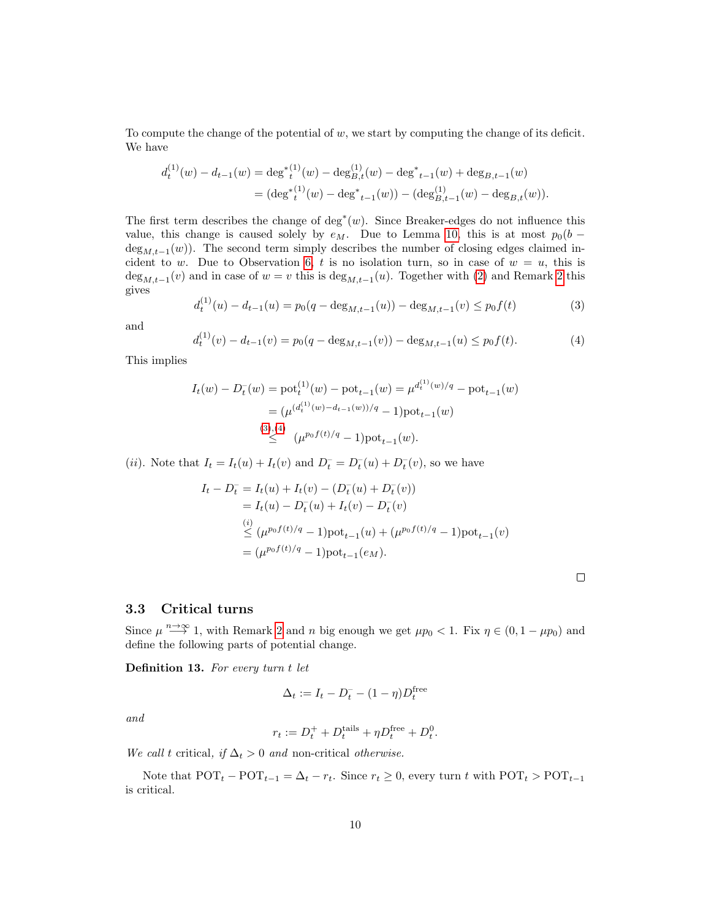To compute the change of the potential of w, we start by computing the change of its deficit. We have

$$
d_t^{(1)}(w) - d_{t-1}(w) = \deg^{\ast(1)}(w) - \deg^{(1)}(w) - \deg^{\ast}_{t-1}(w) + \deg_{B,t-1}(w)
$$
  
= 
$$
(\deg^{\ast(1)}(w) - \deg^{\ast}_{t-1}(w)) - (\deg^{(1)}_{B,t-1}(w) - \deg_{B,t}(w)).
$$

The first term describes the change of  $deg^*(w)$ . Since Breaker-edges do not influence this value, this change is caused solely by  $e_M$ . Due to Lemma [10,](#page-7-0) this is at most  $p_0(b$  $deg_{M,t-1}(w)$ ). The second term simply describes the number of closing edges claimed in-cident to w. Due to Observation [6,](#page-5-1) t is no isolation turn, so in case of  $w = u$ , this is  $\deg_{M,t-1}(v)$  and in case of  $w = v$  this is  $\deg_{M,t-1}(u)$ . Together with [\(2\)](#page-5-2) and Remark [2](#page-3-0) this gives

<span id="page-9-1"></span>
$$
d_t^{(1)}(u) - d_{t-1}(u) = p_0(q - \deg_{M,t-1}(u)) - \deg_{M,t-1}(v) \le p_0 f(t)
$$
\n(3)

and

<span id="page-9-2"></span>
$$
d_t^{(1)}(v) - d_{t-1}(v) = p_0(q - \deg_{M,t-1}(v)) - \deg_{M,t-1}(u) \le p_0 f(t).
$$
 (4)

This implies

$$
I_t(w) - D_t^{-}(w) = \text{pot}_t^{(1)}(w) - \text{pot}_{t-1}(w) = \mu^{d_t^{(1)}(w)/q} - \text{pot}_{t-1}(w)
$$
  
= 
$$
(\mu^{(d_t^{(1)}(w) - d_{t-1}(w))/q} - 1)\text{pot}_{t-1}(w)
$$
  

$$
\overset{(3),(4)}{\leq} (\mu^{p_0 f(t)/q} - 1)\text{pot}_{t-1}(w).
$$

(*ii*). Note that  $I_t = I_t(u) + I_t(v)$  and  $D_t^- = D_t^-(u) + D_t^-(v)$ , so we have

$$
I_t - D_t^- = I_t(u) + I_t(v) - (D_t^-(u) + D_t^-(v))
$$
  
=  $I_t(u) - D_t^-(u) + I_t(v) - D_t^-(v)$   

$$
\stackrel{(i)}{\leq} (\mu^{p_0 f(t)/q} - 1) \text{pot}_{t-1}(u) + (\mu^{p_0 f(t)/q} - 1) \text{pot}_{t-1}(v)
$$
  
=  $(\mu^{p_0 f(t)/q} - 1) \text{pot}_{t-1}(e_M).$ 

### <span id="page-9-0"></span>3.3 Critical turns

Since  $\mu \stackrel{n\to\infty}{\longrightarrow} 1$ , with Remark [2](#page-3-0) and n big enough we get  $\mu p_0 < 1$ . Fix  $\eta \in (0, 1 - \mu p_0)$  and define the following parts of potential change.

<span id="page-9-3"></span>Definition 13. For every turn t let

$$
\Delta_t := I_t - D_t^- - (1-\eta)D_t^\mathrm{free}
$$

and

$$
r_t := D_t^+ + D_t^{\text{tails}} + \eta D_t^{\text{free}} + D_t^0.
$$

We call t critical, if  $\Delta_t > 0$  and non-critical otherwise.

Note that  $\text{POT}_t - \text{POT}_{t-1} = \Delta_t - r_t$ . Since  $r_t \geq 0$ , every turn t with  $\text{POT}_t > \text{POT}_{t-1}$ is critical.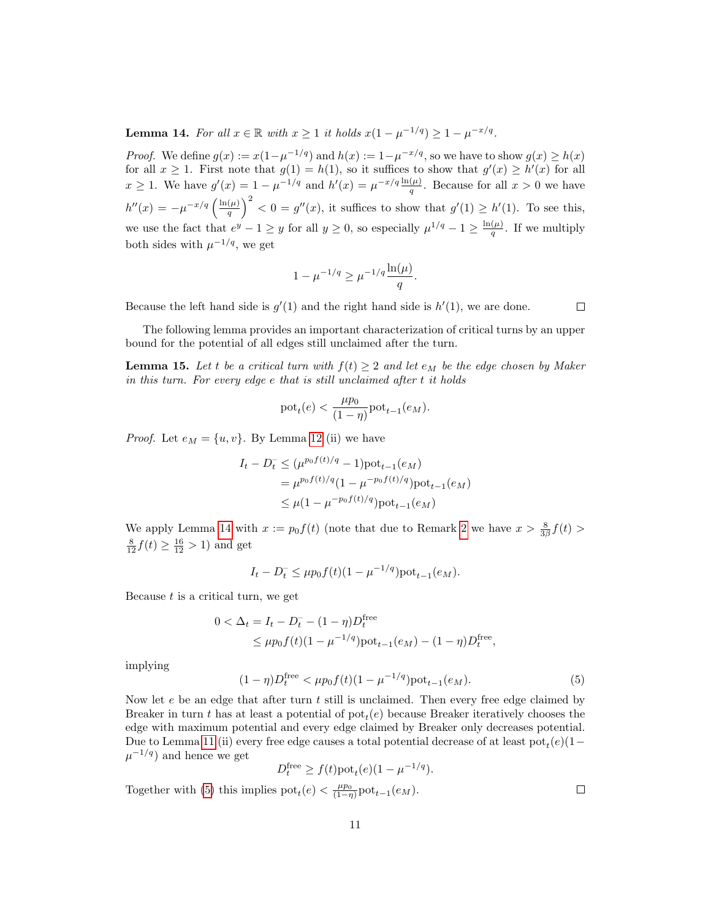<span id="page-10-1"></span>**Lemma 14.** For all  $x \in \mathbb{R}$  with  $x \ge 1$  it holds  $x(1 - \mu^{-1/q}) \ge 1 - \mu^{-x/q}$ .

*Proof.* We define  $g(x) := x(1 - \mu^{-1/q})$  and  $h(x) := 1 - \mu^{-x/q}$ , so we have to show  $g(x) \ge h(x)$ for all  $x \ge 1$ . First note that  $g(1) = h(1)$ , so it suffices to show that  $g'(x) \ge h'(x)$  for all  $x \geq 1$ . We have  $g'(x) = 1 - \mu^{-1/q}$  and  $h'(x) = \mu^{-x/q} \frac{\ln(\mu)}{q}$ . Because for all  $x > 0$  we have  $h''(x) = -\mu^{-x/q} \left( \frac{\ln(\mu)}{a} \right)$  $\left(\frac{\mu}{q}\right)^2 < 0 = g''(x)$ , it suffices to show that  $g'(1) \ge h'(1)$ . To see this, we use the fact that  $e^y - 1 \ge y$  for all  $y \ge 0$ , so especially  $\mu^{1/q} - 1 \ge \frac{\ln(\mu)}{q}$  $\frac{(\mu)}{q}$ . If we multiply both sides with  $\mu^{-1/q}$ , we get

$$
1 - \mu^{-1/q} \ge \mu^{-1/q} \frac{\ln(\mu)}{q}.
$$

Because the left hand side is  $g'(1)$  and the right hand side is  $h'(1)$ , we are done.

The following lemma provides an important characterization of critical turns by an upper bound for the potential of all edges still unclaimed after the turn.

<span id="page-10-0"></span>**Lemma 15.** Let t be a critical turn with  $f(t) \geq 2$  and let  $e_M$  be the edge chosen by Maker in this turn. For every edge e that is still unclaimed after t it holds

$$
\text{pot}_t(e) < \frac{\mu p_0}{(1-\eta)} \text{pot}_{t-1}(e_M).
$$

*Proof.* Let  $e_M = \{u, v\}$ . By Lemma [12](#page-8-0) (ii) we have

$$
I_t - D_t^- \le (\mu^{p_0 f(t)/q} - 1) \text{pot}_{t-1}(e_M)
$$
  
=  $\mu^{p_0 f(t)/q} (1 - \mu^{-p_0 f(t)/q}) \text{pot}_{t-1}(e_M)$   
 $\le \mu (1 - \mu^{-p_0 f(t)/q}) \text{pot}_{t-1}(e_M)$ 

We apply Lemma [14](#page-10-1) with  $x := p_0 f(t)$  (note that due to Remark [2](#page-3-0) we have  $x > \frac{8}{3\beta} f(t)$ )  $\frac{8}{12}f(t) \ge \frac{16}{12} > 1$  and get

$$
I_t - D_t^- \le \mu p_0 f(t) (1 - \mu^{-1/q}) \text{pot}_{t-1}(e_M).
$$

Because  $t$  is a critical turn, we get

$$
0 < \Delta_t = I_t - D_t^- - (1 - \eta) D_t^{\text{free}} \leq \mu p_0 f(t) (1 - \mu^{-1/q}) \text{pot}_{t-1}(e_M) - (1 - \eta) D_t^{\text{free}},
$$

implying

<span id="page-10-2"></span>
$$
(1 - \eta)D_t^{\text{free}} < \mu p_0 f(t)(1 - \mu^{-1/q}) \text{pot}_{t-1}(e_M). \tag{5}
$$

Now let  $e$  be an edge that after turn  $t$  still is unclaimed. Then every free edge claimed by Breaker in turn t has at least a potential of  $pot_t(e)$  because Breaker iteratively chooses the edge with maximum potential and every edge claimed by Breaker only decreases potential. Due to Lemma [11](#page-0-0) (ii) every free edge causes a total potential decrease of at least  $pot_t(e)(1-e)$  $\mu^{-1/q}$  and hence we get

$$
D_t^{\text{free}} \ge f(t) \text{pot}_t(e) (1 - \mu^{-1/q}).
$$
  
lies not (a)  $\lt$  <sup>\mu p\_0</sup> not (a)

Together with [\(5\)](#page-10-2) this implies  $pot_t(e) < \frac{\mu p_0}{(1-\eta)}pot_{t-1}(e_M)$ .

 $\Box$ 

 $\Box$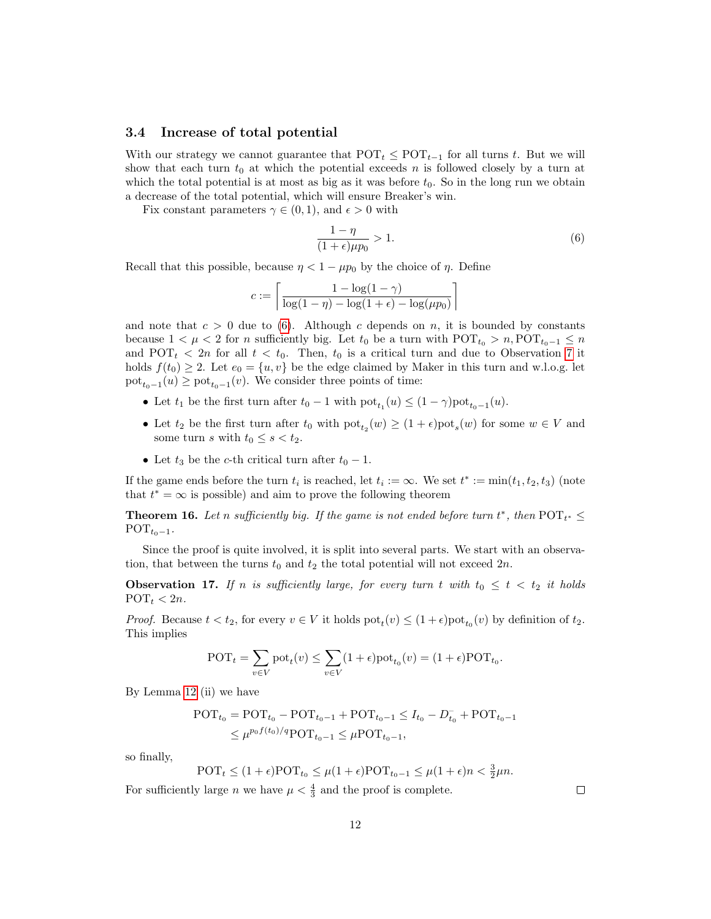#### <span id="page-11-3"></span>3.4 Increase of total potential

With our strategy we cannot guarantee that  $POT_t \leq POT_{t-1}$  for all turns t. But we will show that each turn  $t_0$  at which the potential exceeds n is followed closely by a turn at which the total potential is at most as big as it was before  $t_0$ . So in the long run we obtain a decrease of the total potential, which will ensure Breaker's win.

Fix constant parameters  $\gamma \in (0,1)$ , and  $\epsilon > 0$  with

<span id="page-11-1"></span>
$$
\frac{1-\eta}{(1+\epsilon)\mu p_0} > 1.
$$
\n<sup>(6)</sup>

Recall that this possible, because  $\eta < 1 - \mu p_0$  by the choice of  $\eta$ . Define

$$
c := \left\lceil \frac{1 - \log(1 - \gamma)}{\log(1 - \eta) - \log(1 + \epsilon) - \log(\mu p_0)} \right\rceil
$$

and note that  $c > 0$  due to [\(6\)](#page-11-1). Although c depends on n, it is bounded by constants because  $1 < \mu < 2$  for n sufficiently big. Let  $t_0$  be a turn with POT<sub> $t_0 > n$ </sub>, POT<sub> $t_0-1 \leq n$ </sub> and POT<sub>t</sub>  $\langle 2n \rangle$  for all  $t \langle t_0$ . Then,  $t_0$  is a critical turn and due to Observation [7](#page-5-3) it holds  $f(t_0) \geq 2$ . Let  $e_0 = \{u, v\}$  be the edge claimed by Maker in this turn and w.l.o.g. let  $\text{pot}_{t_0-1}(u) \ge \text{pot}_{t_0-1}(v)$ . We consider three points of time:

- Let  $t_1$  be the first turn after  $t_0 1$  with  $pot_{t_1}(u) \leq (1 \gamma)pot_{t_0-1}(u)$ .
- Let  $t_2$  be the first turn after  $t_0$  with  $pot_{t_2}(w) \geq (1 + \epsilon)pot_s(w)$  for some  $w \in V$  and some turn s with  $t_0 \leq s < t_2$ .
- Let  $t_3$  be the c-th critical turn after  $t_0 1$ .

If the game ends before the turn  $t_i$  is reached, let  $t_i := \infty$ . We set  $t^* := \min(t_1, t_2, t_3)$  (note that  $t^* = \infty$  is possible) and aim to prove the following theorem

<span id="page-11-0"></span>**Theorem 16.** Let n sufficiently big. If the game is not ended before turn  $t^*$ , then  $\text{POT}_{t^*} \leq$  $\text{POT}_{t_0-1}.$ 

Since the proof is quite involved, it is split into several parts. We start with an observation, that between the turns  $t_0$  and  $t_2$  the total potential will not exceed  $2n$ .

<span id="page-11-2"></span>**Observation 17.** If n is sufficiently large, for every turn t with  $t_0 \leq t \leq t_2$  it holds  $\text{POT}_t < 2n$ .

*Proof.* Because  $t < t_2$ , for every  $v \in V$  it holds  $pot_t(v) \leq (1 + \epsilon)pot_{t_0}(v)$  by definition of  $t_2$ . This implies

$$
\text{POT}_t = \sum_{v \in V} \text{pot}_t(v) \le \sum_{v \in V} (1 + \epsilon) \text{pot}_{t_0}(v) = (1 + \epsilon) \text{POT}_{t_0}.
$$

By Lemma [12](#page-8-0) (ii) we have

$$
\begin{aligned} \text{POT}_{t_0} &= \text{POT}_{t_0} - \text{POT}_{t_0 - 1} + \text{POT}_{t_0 - 1} \le I_{t_0} - D_{t_0}^- + \text{POT}_{t_0 - 1} \\ &\le \mu^{p_0 f(t_0)/q} \text{POT}_{t_0 - 1} \le \mu \text{POT}_{t_0 - 1}, \end{aligned}
$$

so finally,

$$
\text{POT}_t \le (1+\epsilon)\text{POT}_{t_0} \le \mu(1+\epsilon)\text{POT}_{t_0-1} \le \mu(1+\epsilon)n < \frac{3}{2}\mu n.
$$

For sufficiently large *n* we have  $\mu < \frac{4}{3}$  and the proof is complete.

 $\Box$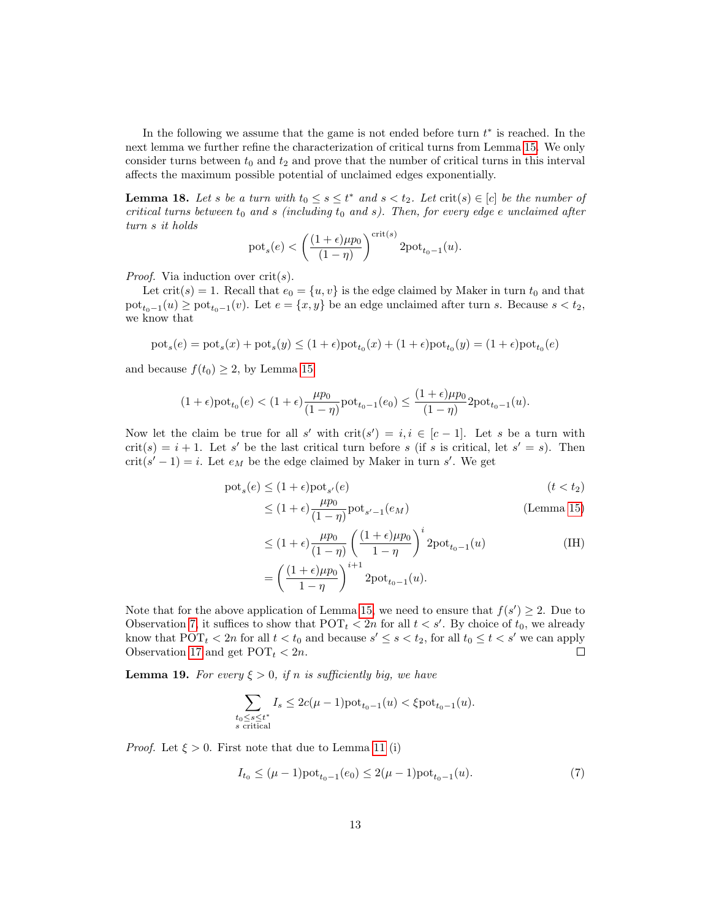In the following we assume that the game is not ended before turn  $t^*$  is reached. In the next lemma we further refine the characterization of critical turns from Lemma [15.](#page-10-0) We only consider turns between  $t_0$  and  $t_2$  and prove that the number of critical turns in this interval affects the maximum possible potential of unclaimed edges exponentially.

<span id="page-12-1"></span>**Lemma 18.** Let s be a turn with  $t_0 \leq s \leq t^*$  and  $s < t_2$ . Let  $\text{crit}(s) \in [c]$  be the number of critical turns between  $t_0$  and s (including  $t_0$  and s). Then, for every edge e unclaimed after turn s it holds

$$
pot_s(e) < \left(\frac{(1+\epsilon)\mu p_0}{(1-\eta)}\right)^{\text{crit}(s)} 2\text{pot}_{t_0-1}(u).
$$

*Proof.* Via induction over  $crit(s)$ .

Let crit(s) = 1. Recall that  $e_0 = \{u, v\}$  is the edge claimed by Maker in turn  $t_0$  and that  $\text{pot}_{t_0-1}(u) \ge \text{pot}_{t_0-1}(v)$ . Let  $e = \{x, y\}$  be an edge unclaimed after turn s. Because  $s < t_2$ , we know that

$$
\mathrm{pot}_s(e)=\mathrm{pot}_s(x)+\mathrm{pot}_s(y)\leq (1+\epsilon)\mathrm{pot}_{t_0}(x)+(1+\epsilon)\mathrm{pot}_{t_0}(y)=(1+\epsilon)\mathrm{pot}_{t_0}(e)
$$

and because  $f(t_0) \geq 2$ , by Lemma [15](#page-10-0)

$$
(1+\epsilon)\text{pot}_{t_0}(e) < (1+\epsilon)\frac{\mu p_0}{(1-\eta)}\text{pot}_{t_0-1}(e_0) \le \frac{(1+\epsilon)\mu p_0}{(1-\eta)}2\text{pot}_{t_0-1}(u).
$$

Now let the claim be true for all s' with  $\text{crit}(s') = i, i \in [c-1]$ . Let s be a turn with  $crit(s) = i + 1$ . Let s' be the last critical turn before s (if s is critical, let s' = s). Then  $\text{crit}(s'-1) = i$ . Let  $e_M$  be the edge claimed by Maker in turn s'. We get

$$
\mathrm{pot}_s(e) \le (1 + \epsilon) \mathrm{pot}_{s'}(e) \tag{t < t_2}
$$

$$
\leq (1+\epsilon)\frac{\mu p_0}{(1-\eta)}\text{pot}_{s'-1}(e_M)
$$
 (Lemma 15)

$$
\leq (1+\epsilon)\frac{\mu p_0}{(1-\eta)}\left(\frac{(1+\epsilon)\mu p_0}{1-\eta}\right)^i 2\text{pot}_{t_0-1}(u)
$$
\n
$$
=\left(\frac{(1+\epsilon)\mu p_0}{1-\eta}\right)^{i+1} 2\text{pot}_{t_0-1}(u).
$$
\n(IH)

Note that for the above application of Lemma [15,](#page-10-0) we need to ensure that  $f(s') \geq 2$ . Due to Observation [7,](#page-5-3) it suffices to show that  $\text{POT}_t < 2n$  for all  $t < s'$ . By choice of  $t_0$ , we already know that  $\text{POT}_t$  < 2n for all  $t < t_0$  and because  $s' \leq s < t_2$ , for all  $t_0 \leq t < s'$  we can apply Observation [17](#page-11-2) and get  $\text{POT}_t < 2n$ .  $\Box$ 

<span id="page-12-0"></span>**Lemma 19.** For every  $\xi > 0$ , if n is sufficiently big, we have

$$
\sum_{\substack{t_0\leq s\leq t^*\\s\text{ critical}}}I_s\leq 2c(\mu-1)\text{pot}_{t_0-1}(u)<\xi\text{pot}_{t_0-1}(u).
$$

*Proof.* Let  $\xi > 0$ . First note that due to Lemma [11](#page-0-0) (i)

$$
I_{t_0} \le (\mu - 1)\text{pot}_{t_0 - 1}(e_0) \le 2(\mu - 1)\text{pot}_{t_0 - 1}(u). \tag{7}
$$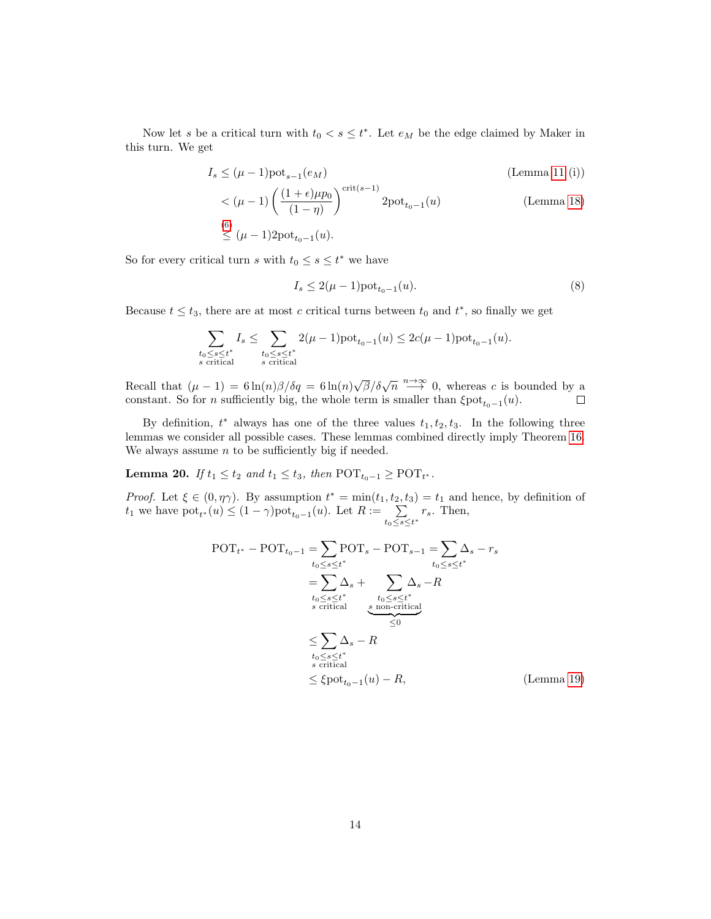Now let s be a critical turn with  $t_0 < s \leq t^*$ . Let  $e_M$  be the edge claimed by Maker in this turn. We get

$$
I_s \leq (\mu - 1)\text{pot}_{s-1}(e_M) \tag{Lemma 11 (i)}
$$

$$
\langle (\mu - 1) \left( \frac{(1 + \epsilon)\mu p_0}{(1 - \eta)} \right)^{\text{crit}(s - 1)} 2\text{pot}_{t_0 - 1}(u)
$$
\n
$$
\leq (\mu - 1) 2\text{pot}_{t_0 - 1}(u).
$$
\n(Lemma 18)

So for every critical turn s with  $t_0 \leq s \leq t^*$  we have

$$
I_s \le 2(\mu - 1) \text{pot}_{t_0 - 1}(u). \tag{8}
$$

Because  $t \leq t_3$ , there are at most c critical turns between  $t_0$  and  $t^*$ , so finally we get

$$
\sum_{\substack{t_0\leq s\leq t^*\\s\text{ critical}}}I_s\leq \sum_{\substack{t_0\leq s\leq t^*\\s\text{ critical}}}2(\mu-1)\text{pot}_{t_0-1}(u)\leq 2c(\mu-1)\text{pot}_{t_0-1}(u).
$$

Recall that  $(\mu - 1) = 6 \ln(n) \frac{\beta}{\delta q} = 6 \ln(n) \frac{\sqrt{\beta}}{\delta \sqrt{n}} \stackrel{n \to \infty}{\longrightarrow} 0$ , whereas c is bounded by a constant. So for *n* sufficiently big, the whole term is smaller than  $\xi$ <sup>1</sup>

By definition,  $t^*$  always has one of the three values  $t_1, t_2, t_3$ . In the following three lemmas we consider all possible cases. These lemmas combined directly imply Theorem [16.](#page-11-0) We always assume  $n$  to be sufficiently big if needed.

<span id="page-13-0"></span>**Lemma 20.** If  $t_1 \le t_2$  and  $t_1 \le t_3$ , then  $\text{POT}_{t_0-1} \ge \text{POT}_{t^*}$ .

Proof. Let  $\xi \in (0, \eta \gamma)$ . By assumption  $t^* = \min(t_1, t_2, t_3) = t_1$  and hence, by definition of  $t_1$  we have  $\text{pot}_{t^*}(u) \leq (1 - \gamma) \text{pot}_{t_0-1}(u)$ . Let  $R := \sum_{n=1}^{\infty}$  $\sum_{t_0 \leq s \leq t^*} r_s$ . Then,

POT<sup>t</sup> <sup>∗</sup> − POTt0−<sup>1</sup> = X t0≤s≤t ∗ POT<sup>s</sup> − POTs−<sup>1</sup> = X t0≤s≤t ∗ ∆<sup>s</sup> − r<sup>s</sup> = X t0≤s≤t ∗ s critical ∆<sup>s</sup> + X t0≤s≤t ∗ s non-critical ∆<sup>s</sup> | {z } ≤0 −R ≤ X t0≤s≤t ∗ s critical ∆<sup>s</sup> − R ≤ ξpot<sup>t</sup>0−<sup>1</sup> (u) − R, (Lemma [19\)](#page-12-0)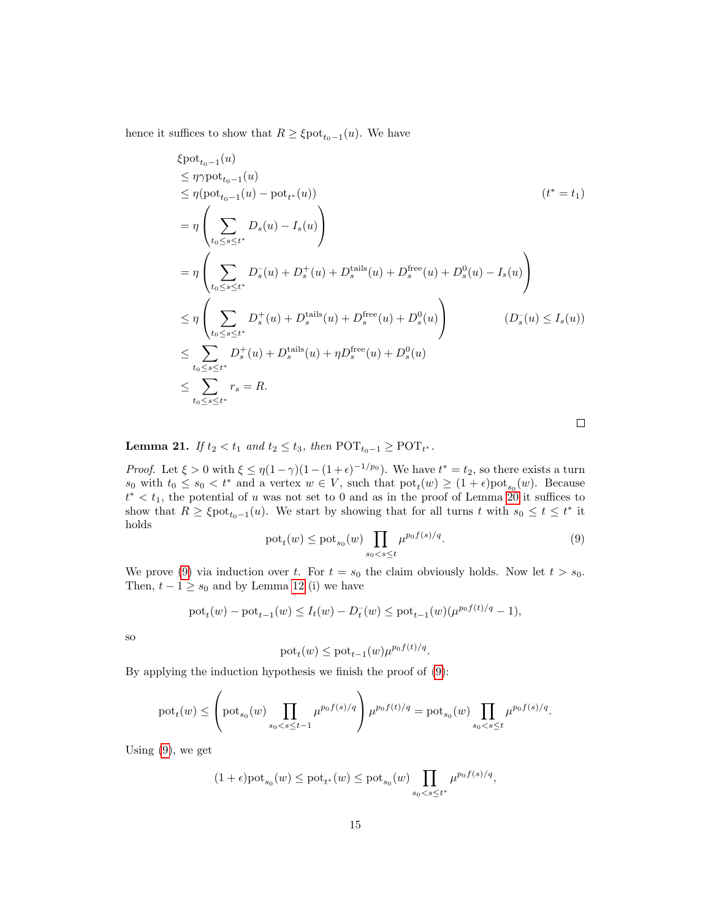hence it suffices to show that  $R \geq \xi \text{pot}_{t_0-1}(u)$ . We have

$$
\begin{aligned}\n &\xi \text{pot}_{t_{0}-1}(u) \\
&\leq \eta \gamma \text{pot}_{t_{0}-1}(u) \\
&\leq \eta (\text{pot}_{t_{0}-1}(u) - \text{pot}_{t^{*}}(u)) \\
&= \eta \left( \sum_{t_{0} \leq s \leq t^{*}} D_{s}(u) - I_{s}(u) \right) \\
&= \eta \left( \sum_{t_{0} \leq s \leq t^{*}} D_{s}^{-}(u) + D_{s}^{+}(u) + D_{s}^{\text{fails}}(u) + D_{s}^{\text{free}}(u) + D_{s}^{0}(u) - I_{s}(u) \right) \\
&\leq \eta \left( \sum_{t_{0} \leq s \leq t^{*}} D_{s}^{+}(u) + D_{s}^{\text{tails}}(u) + D_{s}^{\text{free}}(u) + D_{s}^{0}(u) \right) \\
&\leq \sum_{t_{0} \leq s \leq t^{*}} D_{s}^{+}(u) + D_{s}^{\text{tails}}(u) + \eta D_{s}^{\text{free}}(u) + D_{s}^{0}(u) \\
&\leq \sum_{t_{0} \leq s \leq t^{*}} r_{s} = R.\n \end{aligned}
$$

**Lemma 21.** If  $t_2 < t_1$  and  $t_2 \le t_3$ , then  $\text{POT}_{t_0-1} \ge \text{POT}_{t^*}$ .

*Proof.* Let  $\xi > 0$  with  $\xi \leq \eta(1-\gamma)(1-(1+\epsilon)^{-1/p_0})$ . We have  $t^* = t_2$ , so there exists a turn  $s_0$  with  $t_0 \le s_0 < t^*$  and a vertex  $w \in V$ , such that  $\text{pot}_t(w) \ge (1 + \epsilon) \text{pot}_{s_0}(w)$ . Because  $t^* < t_1$ , the potential of u was not set to 0 and as in the proof of Lemma [20](#page-13-0) it suffices to show that  $R \geq \xi \text{pot}_{t_0-1}(u)$ . We start by showing that for all turns t with  $s_0 \leq t \leq t^*$  it holds

<span id="page-14-0"></span>
$$
\text{pot}_{t}(w) \leq \text{pot}_{s_0}(w) \prod_{s_0 < s \leq t} \mu^{p_0 f(s)/q}.\tag{9}
$$

We prove [\(9\)](#page-14-0) via induction over t. For  $t = s_0$  the claim obviously holds. Now let  $t > s_0$ . Then,  $t - 1 \geq s_0$  and by Lemma [12](#page-8-0) (i) we have

$$
pot_t(w) - pot_{t-1}(w) \le I_t(w) - D_t^-(w) \le pot_{t-1}(w)(\mu^{p_0 f(t)/q} - 1),
$$

so

$$
\mathrm{pot}_t(w) \le \mathrm{pot}_{t-1}(w) \mu^{p_0 f(t)/q}.
$$

By applying the induction hypothesis we finish the proof of [\(9\)](#page-14-0):

$$
\text{pot}_{t}(w) \leq \left(\text{pot}_{s_{0}}(w) \prod_{s_{0} < s \leq t-1} \mu^{p_{0}f(s)/q} \right) \mu^{p_{0}f(t)/q} = \text{pot}_{s_{0}}(w) \prod_{s_{0} < s \leq t} \mu^{p_{0}f(s)/q}.
$$

Using  $(9)$ , we get

$$
(1+\epsilon)\text{pot}_{s_0}(w) \leq \text{pot}_{t^*}(w) \leq \text{pot}_{s_0}(w) \prod_{s_0 < s \leq t^*} \mu^{p_0 f(s)/q},
$$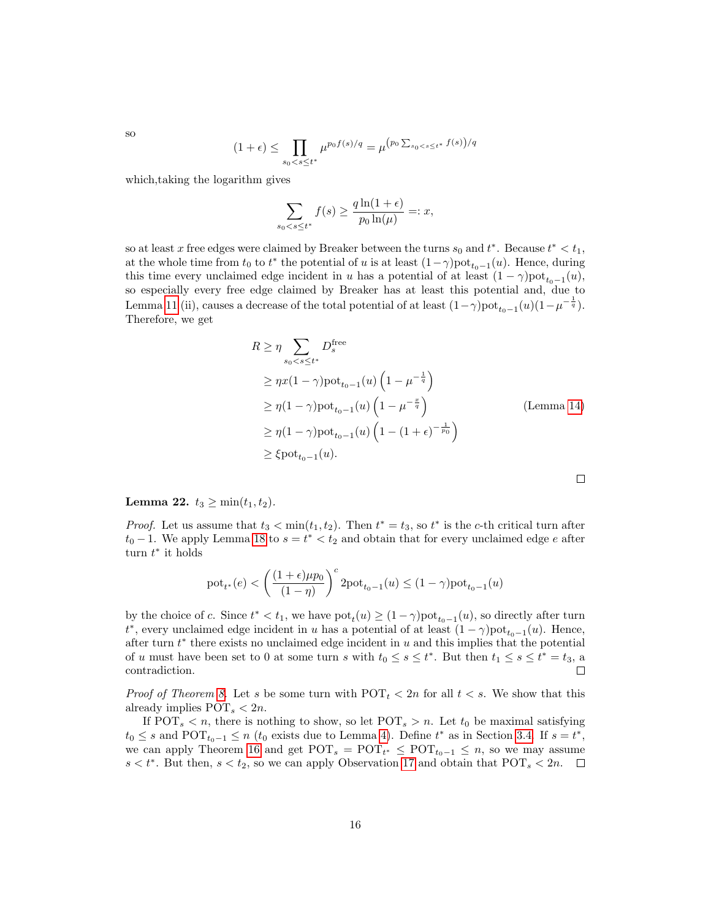$$
(1+\epsilon) \le \prod_{s_0 < s \le t^*} \mu^{p_0 f(s)/q} = \mu^{(p_0 \sum_{s_0 < s \le t^*} f(s))/q}
$$

which,taking the logarithm gives

$$
\sum_{s_0 < s \le t^*} f(s) \ge \frac{q \ln(1 + \epsilon)}{p_0 \ln(\mu)} =: x,
$$

so at least x free edges were claimed by Breaker between the turns  $s_0$  and  $t^*$ . Because  $t^* < t_1$ , at the whole time from  $t_0$  to  $t^*$  the potential of u is at least  $(1-\gamma)$ pot $_{t_0-1}(u)$ . Hence, during this time every unclaimed edge incident in u has a potential of at least  $(1 - \gamma)$ pot<sub> $t_{0-1}(u)$ </sub>, so especially every free edge claimed by Breaker has at least this potential and, due to Lemma [11](#page-0-0) (ii), causes a decrease of the total potential of at least  $(1-\gamma)$ pot $_{t_0-1}(u)(1-\mu^{-\frac{1}{q}})$ . Therefore, we get

$$
R \geq \eta \sum_{s_0 < s \leq t^*} D_s^{\text{free}}
$$
\n
$$
\geq \eta x (1 - \gamma) \text{pot}_{t_0 - 1}(u) \left(1 - \mu^{-\frac{1}{q}}\right)
$$
\n
$$
\geq \eta (1 - \gamma) \text{pot}_{t_0 - 1}(u) \left(1 - \mu^{-\frac{x}{q}}\right)
$$
\n
$$
\geq \eta (1 - \gamma) \text{pot}_{t_0 - 1}(u) \left(1 - (1 + \epsilon)^{-\frac{1}{p_0}}\right)
$$
\n
$$
\geq \xi \text{pot}_{t_0 - 1}(u).
$$

Lemma 22.  $t_3 \geq \min(t_1, t_2)$ .

*Proof.* Let us assume that  $t_3 < \min(t_1, t_2)$ . Then  $t^* = t_3$ , so  $t^*$  is the c-th critical turn after  $t_0$  – 1. We apply Lemma [18](#page-12-1) to  $s = t^* < t_2$  and obtain that for every unclaimed edge e after turn  $t^*$  it holds

$$
\text{\textbf{pot}}_{t^*}(e) < \left(\frac{(1+\epsilon)\mu p_0}{(1-\eta)}\right)^c2\text{\textbf{pot}}_{t_0-1}(u) \leq (1-\gamma)\text{\textbf{pot}}_{t_0-1}(u)
$$

by the choice of c. Since  $t^* < t_1$ , we have  $pot_t(u) \geq (1 - \gamma)pot_{t_0-1}(u)$ , so directly after turn  $t^*$ , every unclaimed edge incident in u has a potential of at least  $(1 - \gamma)$ pot $_{t_0-1}(u)$ . Hence, after turn  $t^*$  there exists no unclaimed edge incident in  $u$  and this implies that the potential of u must have been set to 0 at some turn s with  $t_0 \leq s \leq t^*$ . But then  $t_1 \leq s \leq t^* = t_3$ , a contradiction.  $\Box$ 

*Proof of Theorem [8.](#page-6-0)* Let s be some turn with  $POT<sub>t</sub> < 2n$  for all  $t < s$ . We show that this already implies  $\text{POT}_s < 2n$ .

If  $POT_s < n$ , there is nothing to show, so let  $POT_s > n$ . Let  $t_0$  be maximal satisfying  $t_0 \leq s$  and POT<sub> $t_0-1 \leq n$ </sub> ( $t_0$  exists due to Lemma [4\)](#page-3-1). Define  $t^*$  as in Section [3.4.](#page-11-3) If  $s = t^*$ , we can apply Theorem [16](#page-11-0) and get  $\text{POT}_s = \text{POT}_{t^*} \leq \text{POT}_{t_0-1} \leq n$ , so we may assume  $s < t^*$ . But then,  $s < t_2$ , so we can apply Observation [17](#page-11-2) and obtain that  $POT_s < 2n$ .

so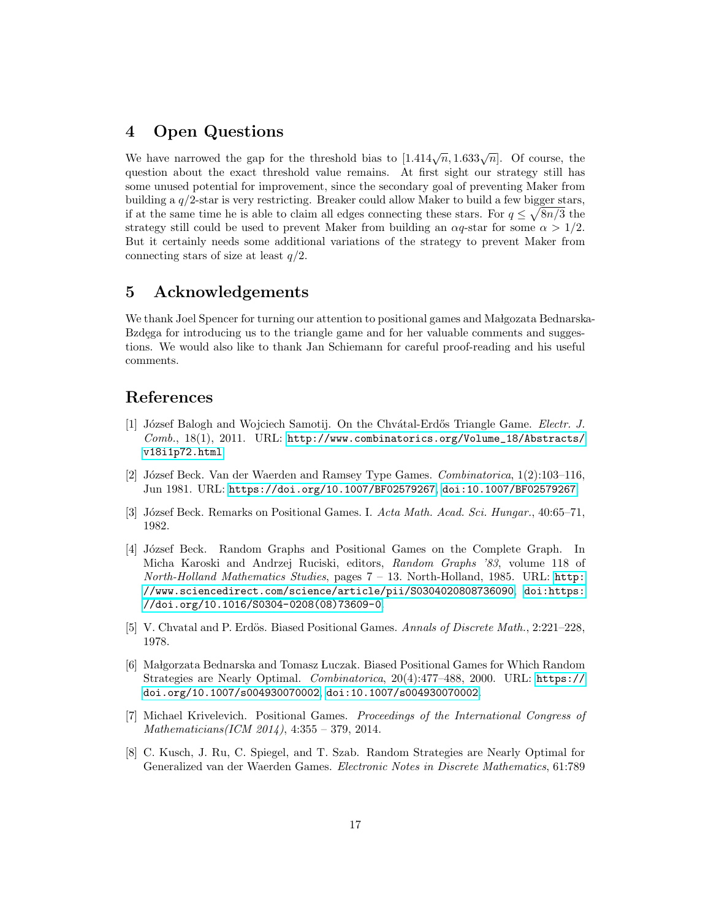## 4 Open Questions

We have narrowed the gap for the threshold bias to  $[1.414\sqrt{n}, 1.633\sqrt{n}]$ . Of course, the question about the exact threshold value remains. At first sight our strategy still has some unused potential for improvement, since the secondary goal of preventing Maker from building a q/2-star is very restricting. Breaker could allow Maker to build a few bigger stars, if at the same time he is able to claim all edges connecting these stars. For  $q \leq \sqrt{8n/3}$  the strategy still could be used to prevent Maker from building an  $\alpha q$ -star for some  $\alpha > 1/2$ . But it certainly needs some additional variations of the strategy to prevent Maker from connecting stars of size at least  $q/2$ .

## 5 Acknowledgements

We thank Joel Spencer for turning our attention to positional games and Małgozata Bednarska-Bzdega for introducing us to the triangle game and for her valuable comments and suggestions. We would also like to thank Jan Schiemann for careful proof-reading and his useful comments.

# References

- <span id="page-16-7"></span>[1] József Balogh and Wojciech Samotij. On the Chvátal-Erdős Triangle Game. Electr. J. Comb., 18(1), 2011. URL: [http://www.combinatorics.org/Volume\\_18/Abstracts/](http://www.combinatorics.org/Volume_18/Abstracts/v18i1p72.html) [v18i1p72.html](http://www.combinatorics.org/Volume_18/Abstracts/v18i1p72.html).
- <span id="page-16-1"></span>[2] József Beck. Van der Waerden and Ramsey Type Games. *Combinatorica*,  $1(2):103-116$ , Jun 1981. URL: <https://doi.org/10.1007/BF02579267>, [doi:10.1007/BF02579267](http://dx.doi.org/10.1007/BF02579267).
- <span id="page-16-2"></span>[3] József Beck. Remarks on Positional Games. I. Acta Math. Acad. Sci. Hungar., 40:65–71, 1982.
- <span id="page-16-3"></span>[4] József Beck. Random Graphs and Positional Games on the Complete Graph. In Micha Karoski and Andrzej Ruciski, editors, Random Graphs '83, volume 118 of North-Holland Mathematics Studies, pages 7 – 13. North-Holland, 1985. URL: [http:](http://www.sciencedirect.com/science/article/pii/S0304020808736090) [//www.sciencedirect.com/science/article/pii/S0304020808736090](http://www.sciencedirect.com/science/article/pii/S0304020808736090), [doi:https:](http://dx.doi.org/https://doi.org/10.1016/S0304-0208(08)73609-0) [//doi.org/10.1016/S0304-0208\(08\)73609-0](http://dx.doi.org/https://doi.org/10.1016/S0304-0208(08)73609-0).
- <span id="page-16-6"></span>[5] V. Chvatal and P. Erdös. Biased Positional Games. Annals of Discrete Math., 2:221–228, 1978.
- <span id="page-16-4"></span>[6] Małgorzata Bednarska and Tomasz Luczak. Biased Positional Games for Which Random Strategies are Nearly Optimal. Combinatorica, 20(4):477–488, 2000. URL: [https://](https://doi.org/10.1007/s004930070002) [doi.org/10.1007/s004930070002](https://doi.org/10.1007/s004930070002), [doi:10.1007/s004930070002](http://dx.doi.org/10.1007/s004930070002).
- <span id="page-16-0"></span>[7] Michael Krivelevich. Positional Games. Proceedings of the International Congress of Mathematicians(ICM 2014), 4:355 – 379, 2014.
- <span id="page-16-5"></span>[8] C. Kusch, J. Ru, C. Spiegel, and T. Szab. Random Strategies are Nearly Optimal for Generalized van der Waerden Games. Electronic Notes in Discrete Mathematics, 61:789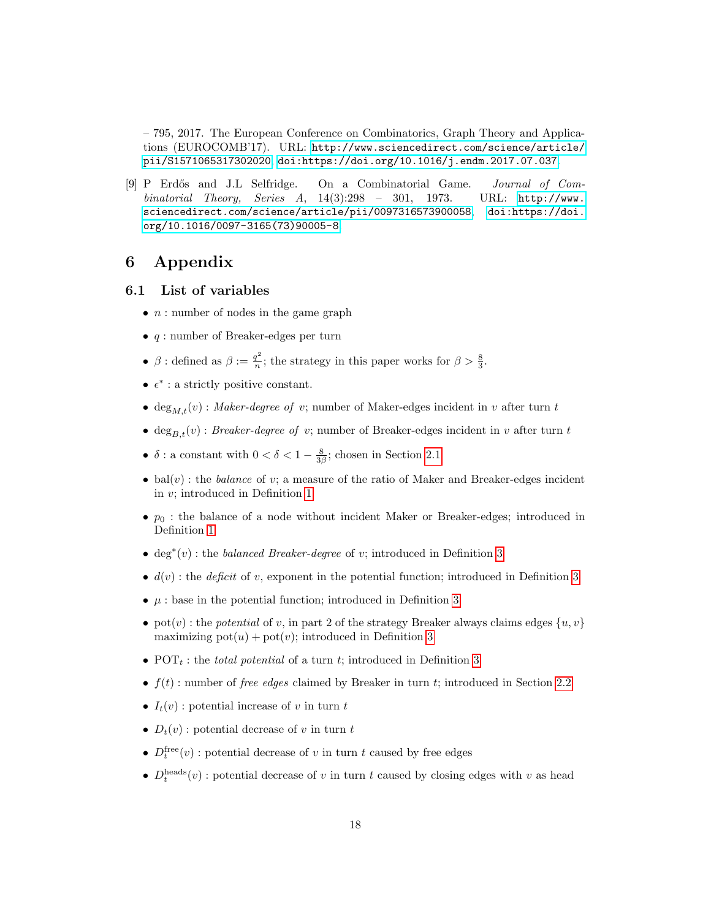– 795, 2017. The European Conference on Combinatorics, Graph Theory and Applications (EUROCOMB'17). URL: [http://www.sciencedirect.com/science/article/](http://www.sciencedirect.com/science/article/pii/S1571065317302020) [pii/S1571065317302020](http://www.sciencedirect.com/science/article/pii/S1571065317302020), [doi:https://doi.org/10.1016/j.endm.2017.07.037](http://dx.doi.org/https://doi.org/10.1016/j.endm.2017.07.037).

<span id="page-17-0"></span>[9] P Erdős and J.L Selfridge. On a Combinatorial Game. Journal of Combinatorial Theory, Series A,  $14(3):298 - 301$ , 1973. URL: [http://www.](http://www.sciencedirect.com/science/article/pii/0097316573900058) [sciencedirect.com/science/article/pii/0097316573900058](http://www.sciencedirect.com/science/article/pii/0097316573900058), [doi:https://doi.](http://dx.doi.org/https://doi.org/10.1016/0097-3165(73)90005-8) [org/10.1016/0097-3165\(73\)90005-8](http://dx.doi.org/https://doi.org/10.1016/0097-3165(73)90005-8).

### 6 Appendix

- 6.1 List of variables
	- $n:$  number of nodes in the game graph
	- $q$ : number of Breaker-edges per turn
	- $\beta$  : defined as  $\beta := \frac{q^2}{n}$  $\frac{q^2}{n}$ ; the strategy in this paper works for  $\beta > \frac{8}{3}$ .
	- $\epsilon^*$  : a strictly positive constant.
	- deg<sub>Mt</sub>(v): Maker-degree of v; number of Maker-edges incident in v after turn t
	- $\deg_{B,t}(v)$ : *Breaker-degree of v*; number of Breaker-edges incident in v after turn t
	- $\delta$ : a constant with  $0 < \delta < 1 \frac{8}{3\beta}$ ; chosen in Section [2.1](#page-2-0)
	- bal $(v)$ : the *balance* of v; a measure of the ratio of Maker and Breaker-edges incident in v; introduced in Definition [1](#page-2-1)
	- $p_0$ : the balance of a node without incident Maker or Breaker-edges; introduced in Definition [1](#page-2-1)
	- deg<sup>\*</sup>(v): the *balanced Breaker-degree* of v; introduced in Definition [3](#page-3-2)
	- $d(v)$ : the *deficit* of v, exponent in the potential function; introduced in Definition [3](#page-3-2)
	- $\mu$ : base in the potential function; introduced in Definition [3](#page-3-2)
	- pot(v): the potential of v, in part 2 of the strategy Breaker always claims edges  $\{u, v\}$ maximizing  $pot(u) + pot(v)$ ; introduced in Definition [3](#page-3-2)
	- POT<sub>t</sub>: the *total potential* of a turn t; introduced in Definition [3](#page-3-2)
	- $f(t)$ : number of *free edges* claimed by Breaker in turn t; introduced in Section [2.2](#page-5-4)
	- $I_t(v)$ : potential increase of v in turn t
	- $D_t(v)$ : potential decrease of v in turn t
	- $D_t^{\text{free}}(v)$ : potential decrease of v in turn t caused by free edges
	- $D_t^{\text{heads}}(v)$ : potential decrease of v in turn t caused by closing edges with v as head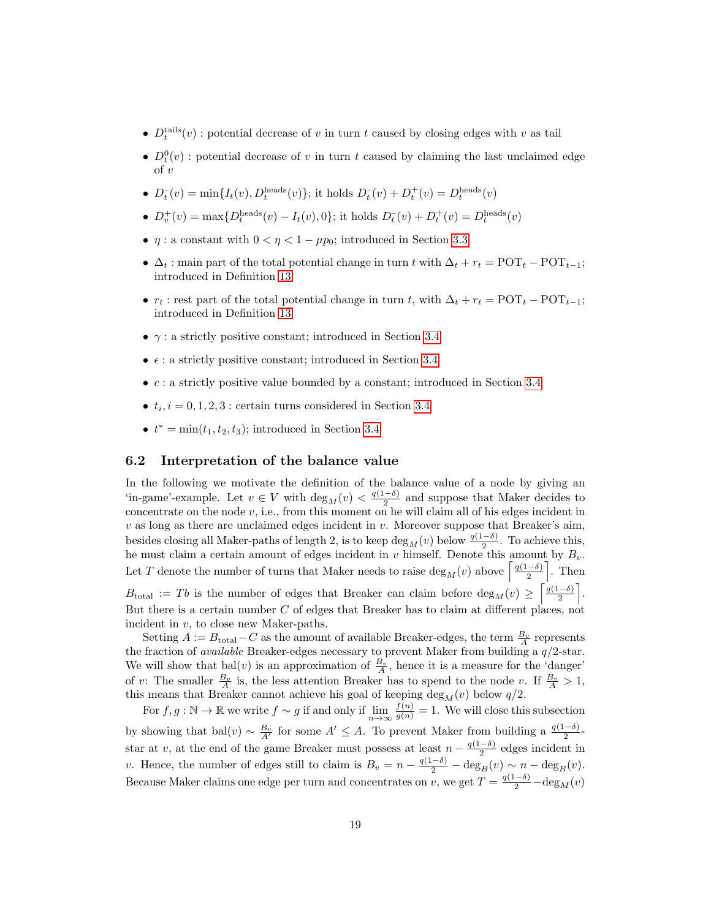- $D_t^{\text{tails}}(v)$ : potential decrease of v in turn t caused by closing edges with v as tail
- $D_t^0(v)$ : potential decrease of v in turn t caused by claiming the last unclaimed edge  $\int v$
- $D_t^-(v) = \min\{I_t(v), D_t^{\text{heads}}(v)\};$  it holds  $D_t^-(v) + D_t^+(v) = D_t^{\text{heads}}(v)$
- $D_v^+(v) = \max\{D_t^{\text{heads}}(v) I_t(v), 0\}$ ; it holds  $D_t^-(v) + D_t^+(v) = D_t^{\text{heads}}(v)$
- $\eta$ : a constant with  $0 < \eta < 1 \mu p_0$ ; introduced in Section [3.3](#page-9-0)
- $\Delta_t$ : main part of the total potential change in turn t with  $\Delta_t + r_t = \text{POT}_t \text{POT}_{t-1};$ introduced in Definition [13](#page-9-3)
- $r_t$ : rest part of the total potential change in turn t, with  $\Delta_t + r_t = \text{POT}_t \text{POT}_{t-1};$ introduced in Definition [13](#page-9-3)
- $\gamma$ : a strictly positive constant; introduced in Section [3.4](#page-11-3)
- $\epsilon$ : a strictly positive constant; introduced in Section [3.4](#page-11-3)
- $\bullet$  c : a strictly positive value bounded by a constant; introduced in Section [3.4](#page-11-3)
- $t_i$ ,  $i = 0, 1, 2, 3$ : certain turns considered in Section [3.4](#page-11-3)
- $t^* = \min(t_1, t_2, t_3)$ ; introduced in Section [3.4](#page-11-3)

#### <span id="page-18-0"></span>6.2 Interpretation of the balance value

In the following we motivate the definition of the balance value of a node by giving an 'in-game'-example. Let  $v \in V$  with  $\deg_M(v) < \frac{q(1-\delta)}{2}$  $\frac{(-\delta)}{2}$  and suppose that Maker decides to concentrate on the node  $v$ , i.e., from this moment on he will claim all of his edges incident in  $v$  as long as there are unclaimed edges incident in  $v$ . Moreover suppose that Breaker's aim, besides closing all Maker-paths of length 2, is to keep  $\deg_M(v)$  below  $\frac{q(1-\delta)}{2}$ . To achieve this, he must claim a certain amount of edges incident in v himself. Denote this amount by  $B_v$ . Let T denote the number of turns that Maker needs to raise  $\deg_M(v)$  above  $\lceil \frac{q(1-\delta)}{2} \rceil$  $\frac{(-\delta)}{2}$ . Then  $B_{\text{total}} := Tb$  is the number of edges that Breaker can claim before  $\deg_M(v) \geq \left\lceil \frac{q(1-\delta)}{2} \right\rceil$  $\frac{-\delta)}{2}$ . But there is a certain number C of edges that Breaker has to claim at different places, not incident in v, to close new Maker-paths.

Setting  $A := B_{total} - C$  as the amount of available Breaker-edges, the term  $\frac{B_v}{A}$  represents  $\text{Beta}$  at  $\text{Beta}$  the fraction of available Breaker-edges necessary to prevent Maker from building a  $q/2$ -star. We will show that  $bal(v)$  is an approximation of  $\frac{B_v}{A}$ , hence it is a measure for the 'danger' of v: The smaller  $\frac{B_v}{A}$  is, the less attention Breaker has to spend to the node v. If  $\frac{B_v}{A} > 1$ , this means that Breaker cannot achieve his goal of keeping  $\deg_M(v)$  below  $q/2$ .

For  $f, g : \mathbb{N} \to \mathbb{R}$  we write  $f \sim g$  if and only if  $\lim_{n \to \infty} \frac{f(n)}{g(n)} = 1$ . We will close this subsection by showing that bal $(v) \sim \frac{B_v}{A'}$  for some  $A' \leq A$ . To prevent Maker from building a  $\frac{q(1-\delta)}{2}$ star at v, at the end of the game Breaker must possess at least  $n - \frac{q(1-\delta)}{2}$  $\frac{(-0)}{2}$  edges incident in v. Hence, the number of edges still to claim is  $B_v = n - \frac{q(1-\delta)}{2} - \deg_B(v) \sim n - \deg_B(v)$ . Because Maker claims one edge per turn and concentrates on v, we get  $T = \frac{q(1-\delta)}{2} - \deg_M(v)$